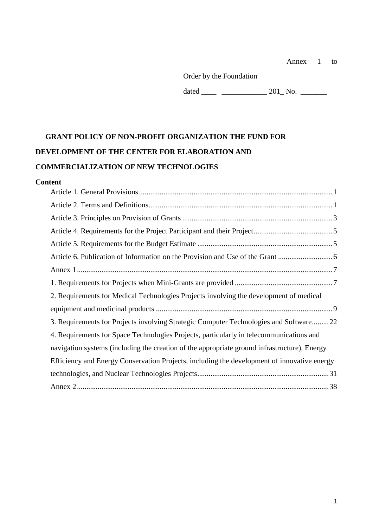Order by the Foundation

dated \_\_\_\_ \_\_\_\_\_\_\_\_\_\_\_\_ 201\_ No. \_\_\_\_\_\_\_

# **GRANT POLICY OF NON-PROFIT ORGANIZATION THE FUND FOR DEVELOPMENT OF THE CENTER FOR ELABORATION AND COMMERCIALIZATION OF NEW TECHNOLOGIES**

#### **Content**

| 2. Requirements for Medical Technologies Projects involving the development of medical       |  |
|----------------------------------------------------------------------------------------------|--|
|                                                                                              |  |
| 3. Requirements for Projects involving Strategic Computer Technologies and Software22        |  |
| 4. Requirements for Space Technologies Projects, particularly in telecommunications and      |  |
| navigation systems (including the creation of the appropriate ground infrastructure), Energy |  |
| Efficiency and Energy Conservation Projects, including the development of innovative energy  |  |
|                                                                                              |  |
|                                                                                              |  |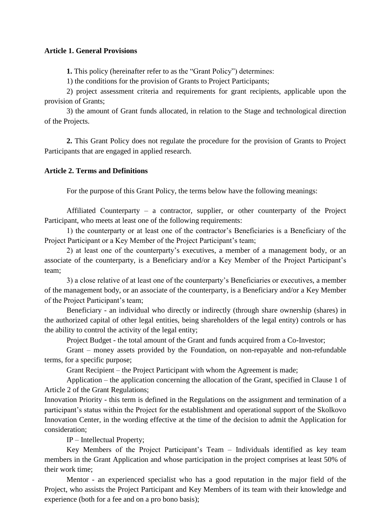#### <span id="page-1-0"></span>**Article 1. General Provisions**

**1.** This policy (hereinafter refer to as the "Grant Policy") determines:

1) the conditions for the provision of Grants to Project Participants;

2) project assessment criteria and requirements for grant recipients, applicable upon the provision of Grants;

3) the amount of Grant funds allocated, in relation to the Stage and technological direction of the Projects.

**2.** This Grant Policy does not regulate the procedure for the provision of Grants to Project Participants that are engaged in applied research.

#### <span id="page-1-1"></span>**Article 2. Terms and Definitions**

For the purpose of this Grant Policy, the terms below have the following meanings:

Affiliated Сounterparty – a contractor, supplier, or other counterparty of the Project Participant, who meets at least one of the following requirements:

1) the counterparty or at least one of the contractor's Beneficiaries is a Beneficiary of the Project Participant or a Key Member of the Project Participant's team;

2) at least one of the counterparty's executives, a member of a management body, or an associate of the counterparty, is a Beneficiary and/or a Key Member of the Project Participant's team;

3) a close relative of at least one of the counterparty's Beneficiaries or executives, a member of the management body, or an associate of the counterparty, is a Beneficiary and/or a Key Member of the Project Participant's team;

Beneficiary - an individual who directly or indirectly (through share ownership (shares) in the authorized capital of other legal entities, being shareholders of the legal entity) controls or has the ability to control the activity of the legal entity;

Project Budget - the total amount of the Grant and funds acquired from a Co-Investor;

Grant – money assets provided by the Foundation, on non-repayable and non-refundable terms, for a specific purpose;

Grant Recipient – the Project Participant with whom the Agreement is made;

Application – the application concerning the allocation of the Grant, specified in Clause 1 of Article 2 of the Grant Regulations;

Innovation Priority - this term is defined in the Regulations on the assignment and termination of a participant's status within the Project for the establishment and operational support of the Skolkovo Innovation Center, in the wording effective at the time of the decision to admit the Application for consideration;

IP – Intellectual Property;

Key Members of the Project Participant's Team – Individuals identified as key team members in the Grant Application and whose participation in the project comprises at least 50% of their work time;

Mentor - an experienced specialist who has a good reputation in the major field of the Project, who assists the Project Participant and Key Members of its team with their knowledge and experience (both for a fee and on a pro bono basis);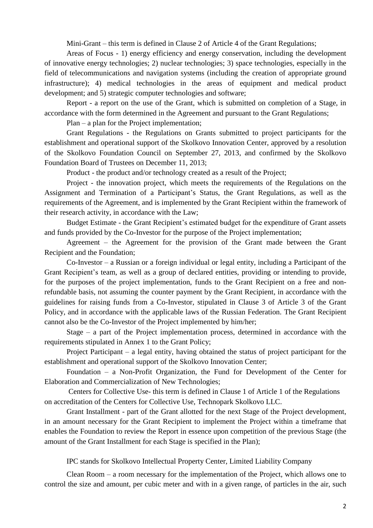Mini-Grant – this term is defined in Clause 2 of Article 4 of the Grant Regulations;

Areas of Focus - 1) energy efficiency and energy conservation, including the development of innovative energy technologies; 2) nuclear technologies; 3) space technologies, especially in the field of telecommunications and navigation systems (including the creation of appropriate ground infrastructure); 4) medical technologies in the areas of equipment and medical product development; and 5) strategic computer technologies and software;

Report - a report on the use of the Grant, which is submitted on completion of a Stage, in accordance with the form determined in the Agreement and pursuant to the Grant Regulations;

Plan – a plan for the Project implementation;

Grant Regulations - the Regulations on Grants submitted to project participants for the establishment and operational support of the Skolkovo Innovation Center, approved by a resolution of the Skolkovo Foundation Council on September 27, 2013, and confirmed by the Skolkovo Foundation Board of Trustees on December 11, 2013;

Product - the product and/or technology created as a result of the Project;

Project - the innovation project, which meets the requirements of the Regulations on the Assignment and Termination of a Participant's Status, the Grant Regulations, as well as the requirements of the Agreement, and is implemented by the Grant Recipient within the framework of their research activity, in accordance with the Law;

Budget Estimate - the Grant Recipient's estimated budget for the expenditure of Grant assets and funds provided by the Co-Investor for the purpose of the Project implementation;

Agreement – the Agreement for the provision of the Grant made between the Grant Recipient and the Foundation;

Co-Investor – a Russian or a foreign individual or legal entity, including a Participant of the Grant Recipient's team, as well as a group of declared entities, providing or intending to provide, for the purposes of the project implementation, funds to the Grant Recipient on a free and nonrefundable basis, not assuming the counter payment by the Grant Recipient, in accordance with the guidelines for raising funds from a Co-Investor, stipulated in Clause 3 of Article 3 of the Grant Policy, and in accordance with the applicable laws of the Russian Federation. The Grant Recipient cannot also be the Co-Investor of the Project implemented by him/her;

Stage – a part of the Project implementation process, determined in accordance with the requirements stipulated in Annex 1 to the Grant Policy;

Project Participant – a legal entity, having obtained the status of project participant for the establishment and operational support of the Skolkovo Innovation Center;

Foundation – a Non-Profit Organization, the Fund for Development of the Center for Elaboration and Commercialization of New Technologies;

Centers for Collective Use- this term is defined in Clause 1 of Article 1 of the Regulations on accreditation of the Centers for Collective Use, Technopark Skolkovo LLC.

Grant Installment - part of the Grant allotted for the next Stage of the Project development, in an amount necessary for the Grant Recipient to implement the Project within a timeframe that enables the Foundation to review the Report in essence upon competition of the previous Stage (the amount of the Grant Installment for each Stage is specified in the Plan);

IPC stands for Skolkovo Intellectual Property Center, Limited Liability Company

Clean Room – a room necessary for the implementation of the Project, which allows one to control the size and amount, per cubic meter and with in a given range, of particles in the air, such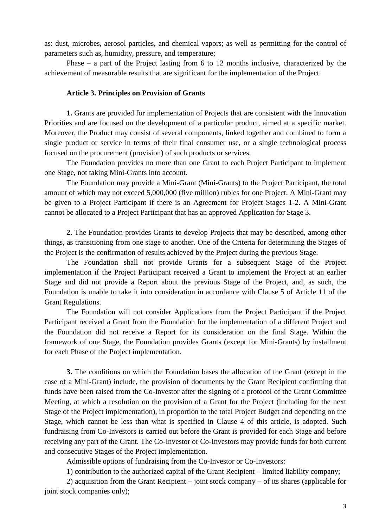as: dust, microbes, aerosol particles, and chemical vapors; as well as permitting for the control of parameters such as, humidity, pressure, and temperature;

Phase – a part of the Project lasting from 6 to 12 months inclusive, characterized by the achievement of measurable results that are significant for the implementation of the Project.

#### **Article 3. Principles on Provision of Grants**

<span id="page-3-0"></span>**1.** Grants are provided for implementation of Projects that are consistent with the Innovation Priorities and are focused on the development of a particular product, aimed at a specific market. Moreover, the Product may consist of several components, linked together and combined to form a single product or service in terms of their final consumer use, or a single technological process focused on the procurement (provision) of such products or services.

The Foundation provides no more than one Grant to each Project Participant to implement one Stage, not taking Mini-Grants into account.

The Foundation may provide a Mini-Grant (Mini-Grants) to the Project Participant, the total amount of which may not exceed 5,000,000 (five million) rubles for one Project. A Mini-Grant may be given to a Project Participant if there is an Agreement for Project Stages 1-2. A Mini-Grant cannot be allocated to a Project Participant that has an approved Application for Stage 3.

**2.** The Foundation provides Grants to develop Projects that may be described, among other things, as transitioning from one stage to another. One of the Criteria for determining the Stages of the Project is the confirmation of results achieved by the Project during the previous Stage.

The Foundation shall not provide Grants for a subsequent Stage of the Project implementation if the Project Participant received a Grant to implement the Project at an earlier Stage and did not provide a Report about the previous Stage of the Project, and, as such, the Foundation is unable to take it into consideration in accordance with Clause 5 of Article 11 of the Grant Regulations.

The Foundation will not consider Applications from the Project Participant if the Project Participant received a Grant from the Foundation for the implementation of a different Project and the Foundation did not receive a Report for its consideration on the final Stage. Within the framework of one Stage, the Foundation provides Grants (except for Mini-Grants) by installment for each Phase of the Project implementation.

**3.** The conditions on which the Foundation bases the allocation of the Grant (except in the case of a Mini-Grant) include, the provision of documents by the Grant Recipient confirming that funds have been raised from the Co-Investor after the signing of a protocol of the Grant Committee Meeting, at which a resolution on the provision of a Grant for the Project (including for the next Stage of the Project implementation), in proportion to the total Project Budget and depending on the Stage, which cannot be less than what is specified in Clause 4 of this article, is adopted. Such fundraising from Co-Investors is carried out before the Grant is provided for each Stage and before receiving any part of the Grant. The Co-Investor or Co-Investors may provide funds for both current and consecutive Stages of the Project implementation.

Admissible options of fundraising from the Co-Investor or Co-Investors:

1) contribution to the authorized capital of the Grant Recipient – limited liability company;

2) acquisition from the Grant Recipient – joint stock company – of its shares (applicable for joint stock companies only);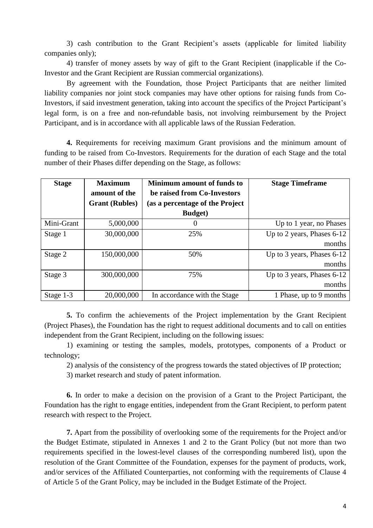3) cash contribution to the Grant Recipient's assets (applicable for limited liability companies only);

4) transfer of money assets by way of gift to the Grant Recipient (inapplicable if the Co-Investor and the Grant Recipient are Russian commercial organizations).

By agreement with the Foundation, those Project Participants that are neither limited liability companies nor joint stock companies may have other options for raising funds from Co-Investors, if said investment generation, taking into account the specifics of the Project Participant's legal form, is on a free and non-refundable basis, not involving reimbursement by the Project Participant, and is in accordance with all applicable laws of the Russian Federation.

**4.** Requirements for receiving maximum Grant provisions and the minimum amount of funding to be raised from Co-Investors. Requirements for the duration of each Stage and the total number of their Phases differ depending on the Stage, as follows:

| <b>Stage</b> | <b>Maximum</b><br>amount of the<br><b>Grant (Rubles)</b> | <b>Minimum amount of funds to</b><br>be raised from Co-Investors<br>(as a percentage of the Project<br><b>Budget</b> ) | <b>Stage Timeframe</b>     |
|--------------|----------------------------------------------------------|------------------------------------------------------------------------------------------------------------------------|----------------------------|
| Mini-Grant   | 5,000,000                                                | 0                                                                                                                      | Up to 1 year, no Phases    |
| Stage 1      | 30,000,000                                               | 25%                                                                                                                    | Up to 2 years, Phases 6-12 |
|              |                                                          |                                                                                                                        | months                     |
| Stage 2      | 150,000,000                                              | 50%                                                                                                                    | Up to 3 years, Phases 6-12 |
|              |                                                          |                                                                                                                        | months                     |
| Stage 3      | 300,000,000                                              | 75%                                                                                                                    | Up to 3 years, Phases 6-12 |
|              |                                                          |                                                                                                                        | months                     |
| Stage 1-3    | 20,000,000                                               | In accordance with the Stage                                                                                           | 1 Phase, up to 9 months    |

**5.** To confirm the achievements of the Project implementation by the Grant Recipient (Project Phases), the Foundation has the right to request additional documents and to call on entities independent from the Grant Recipient, including on the following issues:

1) examining or testing the samples, models, prototypes, components of a Product or technology;

2) analysis of the consistency of the progress towards the stated objectives of IP protection;

3) market research and study of patent information.

**6.** In order to make a decision on the provision of a Grant to the Project Participant, the Foundation has the right to engage entities, independent from the Grant Recipient, to perform patent research with respect to the Project.

**7.** Apart from the possibility of overlooking some of the requirements for the Project and/or the Budget Estimate, stipulated in Annexes 1 and 2 to the Grant Policy (but not more than two requirements specified in the lowest-level clauses of the corresponding numbered list), upon the resolution of the Grant Committee of the Foundation, expenses for the payment of products, work, and/or services of the Affiliated Сounterparties, not conforming with the requirements of Clause 4 of Article 5 of the Grant Policy, may be included in the Budget Estimate of the Project.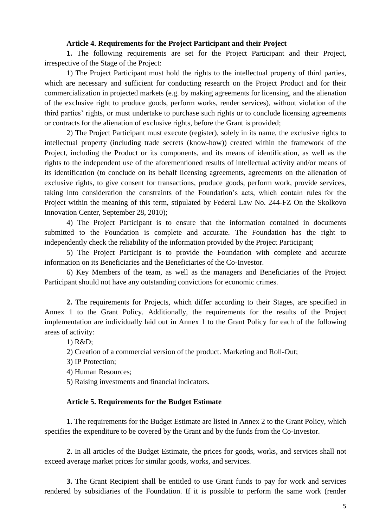#### **Article 4. Requirements for the Project Participant and their Project**

<span id="page-5-0"></span>**1.** The following requirements are set for the Project Participant and their Project, irrespective of the Stage of the Project:

1) The Project Participant must hold the rights to the intellectual property of third parties, which are necessary and sufficient for conducting research on the Project Product and for their commercialization in projected markets (e.g. by making agreements for licensing, and the alienation of the exclusive right to produce goods, perform works, render services), without violation of the third parties' rights, or must undertake to purchase such rights or to conclude licensing agreements or contracts for the alienation of exclusive rights, before the Grant is provided;

2) The Project Participant must execute (register), solely in its name, the exclusive rights to intellectual property (including trade secrets (know-how)) created within the framework of the Project, including the Product or its components, and its means of identification, as well as the rights to the independent use of the aforementioned results of intellectual activity and/or means of its identification (to conclude on its behalf licensing agreements, agreements on the alienation of exclusive rights, to give consent for transactions, produce goods, perform work, provide services, taking into consideration the constraints of the Foundation's acts, which contain rules for the Project within the meaning of this term, stipulated by Federal Law No. 244-FZ On the Skolkovo Innovation Center, September 28, 2010);

4) The Project Participant is to ensure that the information contained in documents submitted to the Foundation is complete and accurate. The Foundation has the right to independently check the reliability of the information provided by the Project Participant;

5) The Project Participant is to provide the Foundation with complete and accurate information on its Beneficiaries and the Beneficiaries of the Co-Investor.

6) Key Members of the team, as well as the managers and Beneficiaries of the Project Participant should not have any outstanding convictions for economic crimes.

**2.** The requirements for Projects, which differ according to their Stages, are specified in Annex 1 to the Grant Policy. Additionally, the requirements for the results of the Project implementation are individually laid out in Annex 1 to the Grant Policy for each of the following areas of activity:

1) R&D;

2) Creation of a commercial version of the product. Marketing and Roll-Out;

3) IP Protection;

4) Human Resources;

5) Raising investments and financial indicators.

#### **Article 5. Requirements for the Budget Estimate**

<span id="page-5-1"></span>**1.** The requirements for the Budget Estimate are listed in Annex 2 to the Grant Policy, which specifies the expenditure to be covered by the Grant and by the funds from the Co-Investor.

**2.** In all articles of the Budget Estimate, the prices for goods, works, and services shall not exceed average market prices for similar goods, works, and services.

**3.** The Grant Recipient shall be entitled to use Grant funds to pay for work and services rendered by subsidiaries of the Foundation. If it is possible to perform the same work (render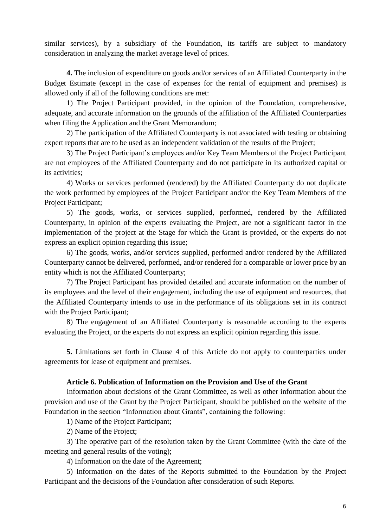similar services), by a subsidiary of the Foundation, its tariffs are subject to mandatory consideration in analyzing the market average level of prices.

**4.** The inclusion of expenditure on goods and/or services of an Affiliated Сounterparty in the Budget Estimate (except in the case of expenses for the rental of equipment and premises) is allowed only if all of the following conditions are met:

1) The Project Participant provided, in the opinion of the Foundation, comprehensive, adequate, and accurate information on the grounds of the affiliation of the Affiliated Сounterparties when filing the Application and the Grant Memorandum;

2) The participation of the Affiliated Сounterparty is not associated with testing or obtaining expert reports that are to be used as an independent validation of the results of the Project;

3) The Project Participant's employees and/or Key Team Members of the Project Participant are not employees of the Affiliated Сounterparty and do not participate in its authorized capital or its activities;

4) Works or services performed (rendered) by the Affiliated Сounterparty do not duplicate the work performed by employees of the Project Participant and/or the Key Team Members of the Project Participant;

5) The goods, works, or services supplied, performed, rendered by the Affiliated Сounterparty, in opinion of the experts evaluating the Project, are not a significant factor in the implementation of the project at the Stage for which the Grant is provided, or the experts do not express an explicit opinion regarding this issue;

6) The goods, works, and/or services supplied, performed and/or rendered by the Affiliated Сounterparty cannot be delivered, performed, and/or rendered for a comparable or lower price by an entity which is not the Affiliated Сounterparty;

7) The Project Participant has provided detailed and accurate information on the number of its employees and the level of their engagement, including the use of equipment and resources, that the Affiliated Сounterparty intends to use in the performance of its obligations set in its contract with the Project Participant;

8) The engagement of an Affiliated Сounterparty is reasonable according to the experts evaluating the Project, or the experts do not express an explicit opinion regarding this issue.

**5.** Limitations set forth in Clause 4 of this Article do not apply to counterparties under agreements for lease of equipment and premises.

#### **Article 6. Publication of Information on the Provision and Use of the Grant**

<span id="page-6-0"></span>Information about decisions of the Grant Committee, as well as other information about the provision and use of the Grant by the Project Participant, should be published on the website of the Foundation in the section "Information about Grants", containing the following:

1) Name of the Project Participant;

2) Name of the Project;

3) The operative part of the resolution taken by the Grant Committee (with the date of the meeting and general results of the voting);

4) Information on the date of the Agreement;

5) Information on the dates of the Reports submitted to the Foundation by the Project Participant and the decisions of the Foundation after consideration of such Reports.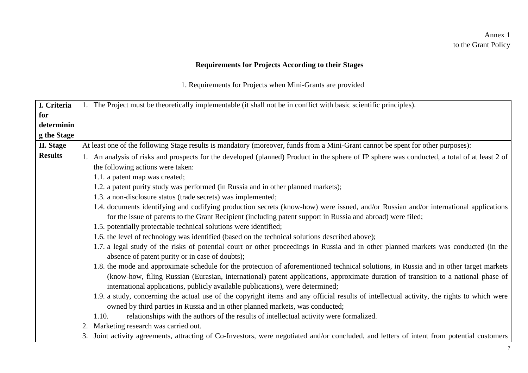### Annex 1 to the Grant Policy

## **Requirements for Projects According to their Stages**

1. Requirements for Projects when Mini-Grants are provided

<span id="page-7-1"></span><span id="page-7-0"></span>

| I. Criteria      | 1. The Project must be theoretically implementable (it shall not be in conflict with basic scientific principles).                           |
|------------------|----------------------------------------------------------------------------------------------------------------------------------------------|
| for              |                                                                                                                                              |
| determinin       |                                                                                                                                              |
| g the Stage      |                                                                                                                                              |
| <b>II.</b> Stage | At least one of the following Stage results is mandatory (moreover, funds from a Mini-Grant cannot be spent for other purposes):             |
| <b>Results</b>   |                                                                                                                                              |
|                  | 1. An analysis of risks and prospects for the developed (planned) Product in the sphere of IP sphere was conducted, a total of at least 2 of |
|                  | the following actions were taken:                                                                                                            |
|                  | 1.1. a patent map was created;                                                                                                               |
|                  | 1.2. a patent purity study was performed (in Russia and in other planned markets);                                                           |
|                  | 1.3. a non-disclosure status (trade secrets) was implemented;                                                                                |
|                  | 1.4. documents identifying and codifying production secrets (know-how) were issued, and/or Russian and/or international applications         |
|                  | for the issue of patents to the Grant Recipient (including patent support in Russia and abroad) were filed;                                  |
|                  | 1.5. potentially protectable technical solutions were identified;                                                                            |
|                  | 1.6. the level of technology was identified (based on the technical solutions described above);                                              |
|                  | 1.7. a legal study of the risks of potential court or other proceedings in Russia and in other planned markets was conducted (in the         |
|                  | absence of patent purity or in case of doubts);                                                                                              |
|                  | 1.8. the mode and approximate schedule for the protection of aforementioned technical solutions, in Russia and in other target markets       |
|                  | (know-how, filing Russian (Eurasian, international) patent applications, approximate duration of transition to a national phase of           |
|                  |                                                                                                                                              |
|                  | international applications, publicly available publications), were determined;                                                               |
|                  | 1.9. a study, concerning the actual use of the copyright items and any official results of intellectual activity, the rights to which were   |
|                  | owned by third parties in Russia and in other planned markets, was conducted;                                                                |
|                  | relationships with the authors of the results of intellectual activity were formalized.<br>1.10.                                             |
|                  | Marketing research was carried out.                                                                                                          |
|                  | 3. Joint activity agreements, attracting of Co-Investors, were negotiated and/or concluded, and letters of intent from potential customers   |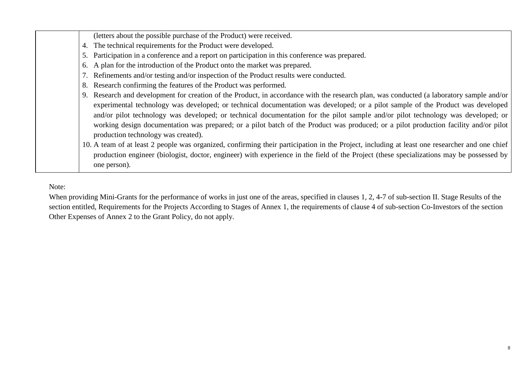| (letters about the possible purchase of the Product) were received.                                                                                                                                                                                                                                                                                                                                                                                                                                                                                                                                                                                                                                                                          |
|----------------------------------------------------------------------------------------------------------------------------------------------------------------------------------------------------------------------------------------------------------------------------------------------------------------------------------------------------------------------------------------------------------------------------------------------------------------------------------------------------------------------------------------------------------------------------------------------------------------------------------------------------------------------------------------------------------------------------------------------|
| The technical requirements for the Product were developed.<br>4.                                                                                                                                                                                                                                                                                                                                                                                                                                                                                                                                                                                                                                                                             |
| Participation in a conference and a report on participation in this conference was prepared.<br>5.                                                                                                                                                                                                                                                                                                                                                                                                                                                                                                                                                                                                                                           |
| A plan for the introduction of the Product onto the market was prepared.<br>6.                                                                                                                                                                                                                                                                                                                                                                                                                                                                                                                                                                                                                                                               |
| 7. Refinements and/or testing and/or inspection of the Product results were conducted.                                                                                                                                                                                                                                                                                                                                                                                                                                                                                                                                                                                                                                                       |
| Research confirming the features of the Product was performed.<br>8.                                                                                                                                                                                                                                                                                                                                                                                                                                                                                                                                                                                                                                                                         |
| Research and development for creation of the Product, in accordance with the research plan, was conducted (a laboratory sample and/or<br>experimental technology was developed; or technical documentation was developed; or a pilot sample of the Product was developed<br>and/or pilot technology was developed; or technical documentation for the pilot sample and/or pilot technology was developed; or<br>working design documentation was prepared; or a pilot batch of the Product was produced; or a pilot production facility and/or pilot<br>production technology was created).<br>10. A team of at least 2 people was organized, confirming their participation in the Project, including at least one researcher and one chief |
| production engineer (biologist, doctor, engineer) with experience in the field of the Project (these specializations may be possessed by<br>one person).                                                                                                                                                                                                                                                                                                                                                                                                                                                                                                                                                                                     |

Note:

──

When providing Mini-Grants for the performance of works in just one of the areas, specified in clauses 1, 2, 4-7 of sub-section II. Stage Results of the section entitled, Requirements for the Projects According to Stages of Annex 1, the requirements of clause 4 of sub-section Co-Investors of the section Other Expenses of Annex 2 to the Grant Policy, do not apply.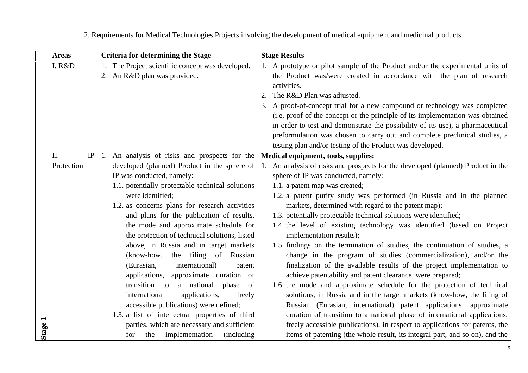<span id="page-9-0"></span>

|         | <b>Areas</b> | <b>Criteria for determining the Stage</b>                                                 | <b>Stage Results</b>                                                                                                                              |
|---------|--------------|-------------------------------------------------------------------------------------------|---------------------------------------------------------------------------------------------------------------------------------------------------|
|         | I. R&D       | 1. The Project scientific concept was developed.                                          | 1. A prototype or pilot sample of the Product and/or the experimental units of                                                                    |
|         |              | 2. An R&D plan was provided.                                                              | the Product was/were created in accordance with the plan of research                                                                              |
|         |              |                                                                                           | activities.                                                                                                                                       |
|         |              |                                                                                           | 2. The R&D Plan was adjusted.                                                                                                                     |
|         |              |                                                                                           | 3. A proof-of-concept trial for a new compound or technology was completed                                                                        |
|         |              |                                                                                           | (i.e. proof of the concept or the principle of its implementation was obtained                                                                    |
|         |              |                                                                                           | in order to test and demonstrate the possibility of its use), a pharmaceutical                                                                    |
|         |              |                                                                                           | preformulation was chosen to carry out and complete preclinical studies, a                                                                        |
|         |              |                                                                                           | testing plan and/or testing of the Product was developed.                                                                                         |
|         | II.<br>IP    | 1. An analysis of risks and prospects for the                                             | Medical equipment, tools, supplies:                                                                                                               |
|         | Protection   | developed (planned) Product in the sphere of                                              | 1. An analysis of risks and prospects for the developed (planned) Product in the                                                                  |
|         |              | IP was conducted, namely:                                                                 | sphere of IP was conducted, namely:                                                                                                               |
|         |              | 1.1. potentially protectable technical solutions                                          | 1.1. a patent map was created;                                                                                                                    |
|         |              | were identified;                                                                          | 1.2. a patent purity study was performed (in Russia and in the planned                                                                            |
|         |              | 1.2. as concerns plans for research activities                                            | markets, determined with regard to the patent map);                                                                                               |
|         |              | and plans for the publication of results,                                                 | 1.3. potentially protectable technical solutions were identified;                                                                                 |
|         |              | the mode and approximate schedule for                                                     | 1.4. the level of existing technology was identified (based on Project                                                                            |
|         |              | the protection of technical solutions, listed                                             | implementation results);                                                                                                                          |
|         |              | above, in Russia and in target markets                                                    | 1.5. findings on the termination of studies, the continuation of studies, a                                                                       |
|         |              | (know-how,<br>the filing of Russian                                                       | change in the program of studies (commercialization), and/or the                                                                                  |
|         |              | international)<br>(Eurasian,<br>patent                                                    | finalization of the available results of the project implementation to                                                                            |
|         |              | applications, approximate duration of<br>transition to<br>a national<br>of                | achieve patentability and patent clearance, were prepared;                                                                                        |
|         |              | phase<br>applications,<br>international                                                   | 1.6. the mode and approximate schedule for the protection of technical<br>solutions, in Russia and in the target markets (know-how, the filing of |
|         |              | freely                                                                                    |                                                                                                                                                   |
|         |              | accessible publications) were defined;<br>1.3. a list of intellectual properties of third | Russian (Eurasian, international) patent applications, approximate<br>duration of transition to a national phase of international applications,   |
|         |              | parties, which are necessary and sufficient                                               | freely accessible publications), in respect to applications for patents, the                                                                      |
| Stage 1 |              | implementation<br>the<br><i>(including)</i><br>for                                        | items of patenting (the whole result, its integral part, and so on), and the                                                                      |
|         |              |                                                                                           |                                                                                                                                                   |

2. Requirements for Medical Technologies Projects involving the development of medical equipment and medicinal products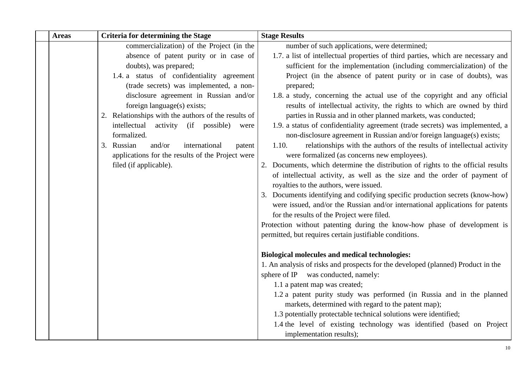| <b>Areas</b> | <b>Criteria for determining the Stage</b>           | <b>Stage Results</b>                                                                                                        |
|--------------|-----------------------------------------------------|-----------------------------------------------------------------------------------------------------------------------------|
|              | commercialization) of the Project (in the           | number of such applications, were determined;                                                                               |
|              | absence of patent purity or in case of              | 1.7. a list of intellectual properties of third parties, which are necessary and                                            |
|              | doubts), was prepared;                              | sufficient for the implementation (including commercialization) of the                                                      |
|              | 1.4. a status of confidentiality agreement          | Project (in the absence of patent purity or in case of doubts), was                                                         |
|              | (trade secrets) was implemented, a non-             | prepared;                                                                                                                   |
|              | disclosure agreement in Russian and/or              | 1.8. a study, concerning the actual use of the copyright and any official                                                   |
|              | foreign language(s) exists;                         | results of intellectual activity, the rights to which are owned by third                                                    |
|              | 2. Relationships with the authors of the results of | parties in Russia and in other planned markets, was conducted;                                                              |
|              | intellectual<br>activity (if possible)<br>were      | 1.9. a status of confidentiality agreement (trade secrets) was implemented, a                                               |
|              | formalized.                                         | non-disclosure agreement in Russian and/or foreign language(s) exists;                                                      |
|              | 3. Russian<br>and/or<br>international<br>patent     | 1.10.<br>relationships with the authors of the results of intellectual activity                                             |
|              | applications for the results of the Project were    | were formalized (as concerns new employees).                                                                                |
|              | filed (if applicable).                              | 2. Documents, which determine the distribution of rights to the official results                                            |
|              |                                                     | of intellectual activity, as well as the size and the order of payment of                                                   |
|              |                                                     | royalties to the authors, were issued.                                                                                      |
|              |                                                     | 3. Documents identifying and codifying specific production secrets (know-how)                                               |
|              |                                                     | were issued, and/or the Russian and/or international applications for patents<br>for the results of the Project were filed. |
|              |                                                     | Protection without patenting during the know-how phase of development is                                                    |
|              |                                                     | permitted, but requires certain justifiable conditions.                                                                     |
|              |                                                     |                                                                                                                             |
|              |                                                     | <b>Biological molecules and medical technologies:</b>                                                                       |
|              |                                                     | 1. An analysis of risks and prospects for the developed (planned) Product in the                                            |
|              |                                                     | sphere of IP was conducted, namely:                                                                                         |
|              |                                                     | 1.1 a patent map was created;                                                                                               |
|              |                                                     | 1.2 a patent purity study was performed (in Russia and in the planned                                                       |
|              |                                                     | markets, determined with regard to the patent map);                                                                         |
|              |                                                     | 1.3 potentially protectable technical solutions were identified;                                                            |
|              |                                                     | 1.4 the level of existing technology was identified (based on Project                                                       |
|              |                                                     | implementation results);                                                                                                    |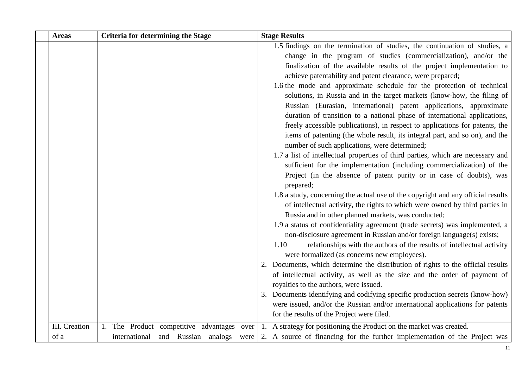| <b>Areas</b>  | <b>Criteria for determining the Stage</b>  | <b>Stage Results</b>                                                                                                           |
|---------------|--------------------------------------------|--------------------------------------------------------------------------------------------------------------------------------|
|               |                                            | 1.5 findings on the termination of studies, the continuation of studies, a                                                     |
|               |                                            | change in the program of studies (commercialization), and/or the                                                               |
|               |                                            | finalization of the available results of the project implementation to                                                         |
|               |                                            | achieve patentability and patent clearance, were prepared;                                                                     |
|               |                                            | 1.6 the mode and approximate schedule for the protection of technical                                                          |
|               |                                            | solutions, in Russia and in the target markets (know-how, the filing of                                                        |
|               |                                            | Russian (Eurasian, international) patent applications, approximate                                                             |
|               |                                            | duration of transition to a national phase of international applications,                                                      |
|               |                                            | freely accessible publications), in respect to applications for patents, the                                                   |
|               |                                            | items of patenting (the whole result, its integral part, and so on), and the<br>number of such applications, were determined;  |
|               |                                            | 1.7 a list of intellectual properties of third parties, which are necessary and                                                |
|               |                                            | sufficient for the implementation (including commercialization) of the                                                         |
|               |                                            | Project (in the absence of patent purity or in case of doubts), was<br>prepared;                                               |
|               |                                            | 1.8 a study, concerning the actual use of the copyright and any official results                                               |
|               |                                            | of intellectual activity, the rights to which were owned by third parties in                                                   |
|               |                                            | Russia and in other planned markets, was conducted;                                                                            |
|               |                                            | 1.9 a status of confidentiality agreement (trade secrets) was implemented, a                                                   |
|               |                                            | non-disclosure agreement in Russian and/or foreign language(s) exists;                                                         |
|               |                                            | relationships with the authors of the results of intellectual activity<br>1.10<br>were formalized (as concerns new employees). |
|               |                                            | 2. Documents, which determine the distribution of rights to the official results                                               |
|               |                                            | of intellectual activity, as well as the size and the order of payment of                                                      |
|               |                                            | royalties to the authors, were issued.                                                                                         |
|               |                                            | 3. Documents identifying and codifying specific production secrets (know-how)                                                  |
|               |                                            | were issued, and/or the Russian and/or international applications for patents                                                  |
|               |                                            | for the results of the Project were filed.                                                                                     |
| III. Creation | 1. The Product competitive advantages over | 1. A strategy for positioning the Product on the market was created.                                                           |
| of a          | international and Russian analogs were     | 2. A source of financing for the further implementation of the Project was                                                     |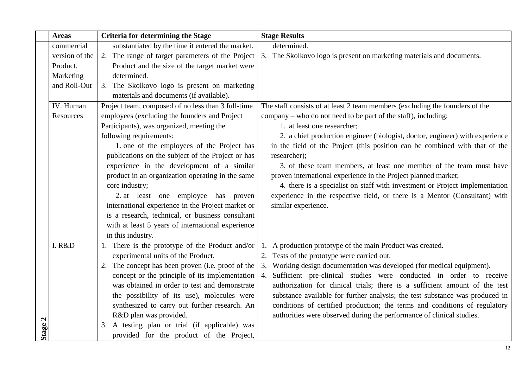| <b>Areas</b>               | <b>Criteria for determining the Stage</b>          | <b>Stage Results</b>                                                         |
|----------------------------|----------------------------------------------------|------------------------------------------------------------------------------|
| commercial                 | substantiated by the time it entered the market.   | determined.                                                                  |
| version of the             | 2. The range of target parameters of the Project   | 3. The Skolkovo logo is present on marketing materials and documents.        |
| Product.                   | Product and the size of the target market were     |                                                                              |
| Marketing                  | determined.                                        |                                                                              |
| and Roll-Out               | 3. The Skolkovo logo is present on marketing       |                                                                              |
|                            | materials and documents (if available).            |                                                                              |
| IV. Human                  | Project team, composed of no less than 3 full-time | The staff consists of at least 2 team members (excluding the founders of the |
| Resources                  | employees (excluding the founders and Project      | company – who do not need to be part of the staff), including:               |
|                            | Participants), was organized, meeting the          | 1. at least one researcher;                                                  |
|                            | following requirements:                            | 2. a chief production engineer (biologist, doctor, engineer) with experience |
|                            | 1. one of the employees of the Project has         | in the field of the Project (this position can be combined with that of the  |
|                            | publications on the subject of the Project or has  | researcher);                                                                 |
|                            | experience in the development of a similar         | 3. of these team members, at least one member of the team must have          |
|                            | product in an organization operating in the same   | proven international experience in the Project planned market;               |
|                            | core industry;                                     | 4. there is a specialist on staff with investment or Project implementation  |
|                            | 2. at least one employee has proven                | experience in the respective field, or there is a Mentor (Consultant) with   |
|                            | international experience in the Project market or  | similar experience.                                                          |
|                            | is a research, technical, or business consultant   |                                                                              |
|                            | with at least 5 years of international experience  |                                                                              |
|                            | in this industry.                                  |                                                                              |
| I. R&D                     | 1. There is the prototype of the Product and/or    | A production prototype of the main Product was created.                      |
|                            | experimental units of the Product.                 | 2. Tests of the prototype were carried out.                                  |
|                            | 2. The concept has been proven (i.e. proof of the  | 3. Working design documentation was developed (for medical equipment).       |
|                            | concept or the principle of its implementation     | 4. Sufficient pre-clinical studies were conducted in order to receive        |
|                            | was obtained in order to test and demonstrate      | authorization for clinical trials; there is a sufficient amount of the test  |
|                            | the possibility of its use), molecules were        | substance available for further analysis; the test substance was produced in |
|                            | synthesized to carry out further research. An      | conditions of certified production; the terms and conditions of regulatory   |
| $\boldsymbol{\mathcal{L}}$ | R&D plan was provided.                             | authorities were observed during the performance of clinical studies.        |
| <b>Stage</b>               | 3. A testing plan or trial (if applicable) was     |                                                                              |
|                            | provided for the product of the Project,           |                                                                              |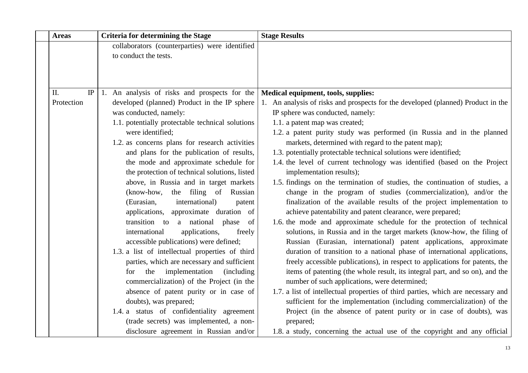| <b>Areas</b> |    | <b>Criteria for determining the Stage</b>          | <b>Stage Results</b>                                                             |
|--------------|----|----------------------------------------------------|----------------------------------------------------------------------------------|
|              |    | collaborators (counterparties) were identified     |                                                                                  |
|              |    | to conduct the tests.                              |                                                                                  |
|              |    |                                                    |                                                                                  |
|              |    |                                                    |                                                                                  |
| II.          | IP | 1. An analysis of risks and prospects for the      | Medical equipment, tools, supplies:                                              |
| Protection   |    | developed (planned) Product in the IP sphere       | 1. An analysis of risks and prospects for the developed (planned) Product in the |
|              |    | was conducted, namely:                             | IP sphere was conducted, namely:                                                 |
|              |    | 1.1. potentially protectable technical solutions   | 1.1. a patent map was created;                                                   |
|              |    | were identified:                                   | 1.2. a patent purity study was performed (in Russia and in the planned           |
|              |    | 1.2. as concerns plans for research activities     | markets, determined with regard to the patent map);                              |
|              |    | and plans for the publication of results,          | 1.3. potentially protectable technical solutions were identified;                |
|              |    | the mode and approximate schedule for              | 1.4. the level of current technology was identified (based on the Project        |
|              |    | the protection of technical solutions, listed      | implementation results);                                                         |
|              |    | above, in Russia and in target markets             | 1.5. findings on the termination of studies, the continuation of studies, a      |
|              |    | the filing of Russian<br>(know-how,                | change in the program of studies (commercialization), and/or the                 |
|              |    | (Eurasian,<br>international)<br>patent             | finalization of the available results of the project implementation to           |
|              |    | applications, approximate duration of              | achieve patentability and patent clearance, were prepared;                       |
|              |    | transition to a national phase<br>of               | 1.6. the mode and approximate schedule for the protection of technical           |
|              |    | applications,<br>international<br>freely           | solutions, in Russia and in the target markets (know-how, the filing of          |
|              |    | accessible publications) were defined;             | Russian (Eurasian, international) patent applications, approximate               |
|              |    | 1.3. a list of intellectual properties of third    | duration of transition to a national phase of international applications,        |
|              |    | parties, which are necessary and sufficient        | freely accessible publications), in respect to applications for patents, the     |
|              |    | the<br>implementation<br><i>(including)</i><br>for | items of patenting (the whole result, its integral part, and so on), and the     |
|              |    | commercialization) of the Project (in the          | number of such applications, were determined;                                    |
|              |    | absence of patent purity or in case of             | 1.7. a list of intellectual properties of third parties, which are necessary and |
|              |    | doubts), was prepared;                             | sufficient for the implementation (including commercialization) of the           |
|              |    | 1.4. a status of confidentiality agreement         | Project (in the absence of patent purity or in case of doubts), was              |
|              |    | (trade secrets) was implemented, a non-            | prepared;                                                                        |
|              |    | disclosure agreement in Russian and/or             | 1.8. a study, concerning the actual use of the copyright and any official        |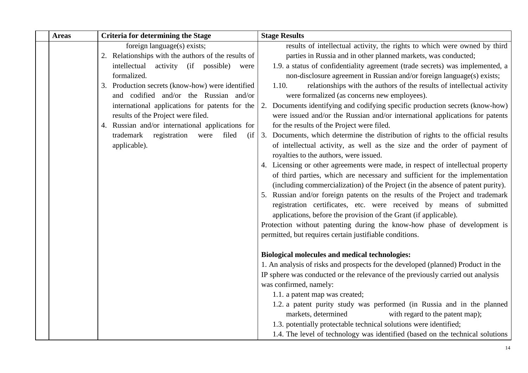| <b>Areas</b> | <b>Criteria for determining the Stage</b>           | <b>Stage Results</b>                                                                                                                    |
|--------------|-----------------------------------------------------|-----------------------------------------------------------------------------------------------------------------------------------------|
|              | foreign language(s) exists;                         | results of intellectual activity, the rights to which were owned by third                                                               |
|              | 2. Relationships with the authors of the results of | parties in Russia and in other planned markets, was conducted;                                                                          |
|              | intellectual<br>activity (if possible)<br>were      | 1.9. a status of confidentiality agreement (trade secrets) was implemented, a                                                           |
|              | formalized.                                         | non-disclosure agreement in Russian and/or foreign language(s) exists;                                                                  |
|              | 3. Production secrets (know-how) were identified    | relationships with the authors of the results of intellectual activity<br>1.10.                                                         |
|              | and codified and/or the Russian and/or              | were formalized (as concerns new employees).                                                                                            |
|              | international applications for patents for the      | 2. Documents identifying and codifying specific production secrets (know-how)                                                           |
|              | results of the Project were filed.                  | were issued and/or the Russian and/or international applications for patents                                                            |
|              | 4. Russian and/or international applications for    | for the results of the Project were filed.                                                                                              |
|              | registration<br>trademark<br>were<br>filed<br>(ii   | 3. Documents, which determine the distribution of rights to the official results                                                        |
|              | applicable).                                        | of intellectual activity, as well as the size and the order of payment of                                                               |
|              |                                                     | royalties to the authors, were issued.                                                                                                  |
|              |                                                     | 4. Licensing or other agreements were made, in respect of intellectual property                                                         |
|              |                                                     | of third parties, which are necessary and sufficient for the implementation                                                             |
|              |                                                     | (including commercialization) of the Project (in the absence of patent purity).                                                         |
|              |                                                     | 5. Russian and/or foreign patents on the results of the Project and trademark                                                           |
|              |                                                     | registration certificates, etc. were received by means of submitted<br>applications, before the provision of the Grant (if applicable). |
|              |                                                     | Protection without patenting during the know-how phase of development is                                                                |
|              |                                                     | permitted, but requires certain justifiable conditions.                                                                                 |
|              |                                                     |                                                                                                                                         |
|              |                                                     | <b>Biological molecules and medical technologies:</b>                                                                                   |
|              |                                                     | 1. An analysis of risks and prospects for the developed (planned) Product in the                                                        |
|              |                                                     | IP sphere was conducted or the relevance of the previously carried out analysis                                                         |
|              |                                                     | was confirmed, namely:                                                                                                                  |
|              |                                                     | 1.1. a patent map was created;                                                                                                          |
|              |                                                     | 1.2. a patent purity study was performed (in Russia and in the planned                                                                  |
|              |                                                     | markets, determined<br>with regard to the patent map);                                                                                  |
|              |                                                     | 1.3. potentially protectable technical solutions were identified;                                                                       |
|              |                                                     | 1.4. The level of technology was identified (based on the technical solutions                                                           |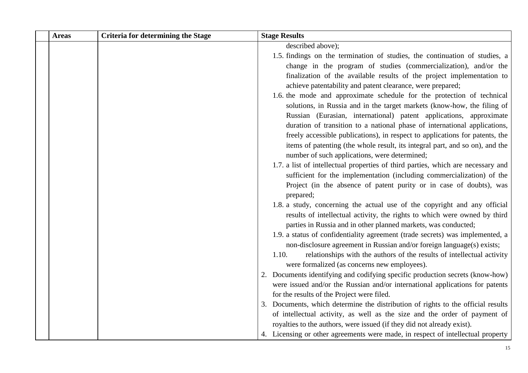| <b>Areas</b> | <b>Criteria for determining the Stage</b> | <b>Stage Results</b>                                                                                                                          |
|--------------|-------------------------------------------|-----------------------------------------------------------------------------------------------------------------------------------------------|
|              |                                           | described above);                                                                                                                             |
|              |                                           | 1.5. findings on the termination of studies, the continuation of studies, a                                                                   |
|              |                                           | change in the program of studies (commercialization), and/or the                                                                              |
|              |                                           | finalization of the available results of the project implementation to                                                                        |
|              |                                           | achieve patentability and patent clearance, were prepared;                                                                                    |
|              |                                           | 1.6. the mode and approximate schedule for the protection of technical                                                                        |
|              |                                           | solutions, in Russia and in the target markets (know-how, the filing of                                                                       |
|              |                                           | Russian (Eurasian, international) patent applications, approximate                                                                            |
|              |                                           | duration of transition to a national phase of international applications,                                                                     |
|              |                                           | freely accessible publications), in respect to applications for patents, the                                                                  |
|              |                                           | items of patenting (the whole result, its integral part, and so on), and the                                                                  |
|              |                                           | number of such applications, were determined;                                                                                                 |
|              |                                           | 1.7. a list of intellectual properties of third parties, which are necessary and                                                              |
|              |                                           | sufficient for the implementation (including commercialization) of the<br>Project (in the absence of patent purity or in case of doubts), was |
|              |                                           | prepared;                                                                                                                                     |
|              |                                           | 1.8. a study, concerning the actual use of the copyright and any official                                                                     |
|              |                                           | results of intellectual activity, the rights to which were owned by third                                                                     |
|              |                                           | parties in Russia and in other planned markets, was conducted;                                                                                |
|              |                                           | 1.9. a status of confidentiality agreement (trade secrets) was implemented, a                                                                 |
|              |                                           | non-disclosure agreement in Russian and/or foreign language(s) exists;                                                                        |
|              |                                           | 1.10.<br>relationships with the authors of the results of intellectual activity                                                               |
|              |                                           | were formalized (as concerns new employees).                                                                                                  |
|              |                                           | 2. Documents identifying and codifying specific production secrets (know-how)                                                                 |
|              |                                           | were issued and/or the Russian and/or international applications for patents                                                                  |
|              |                                           | for the results of the Project were filed.                                                                                                    |
|              |                                           | 3. Documents, which determine the distribution of rights to the official results                                                              |
|              |                                           | of intellectual activity, as well as the size and the order of payment of                                                                     |
|              |                                           | royalties to the authors, were issued (if they did not already exist).                                                                        |
|              |                                           | 4. Licensing or other agreements were made, in respect of intellectual property                                                               |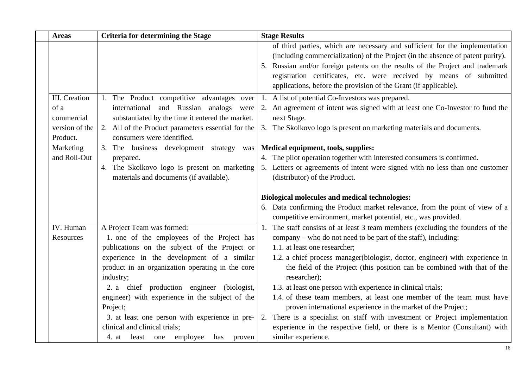| <b>Areas</b>                                                      | <b>Criteria for determining the Stage</b>                                                                                                                                                                                                                                                                                                                                                                                                | <b>Stage Results</b>                                                                                                                                                                                                                                                                                                                                                                                                                                                                                                                                                                                                                                                                                                                     |
|-------------------------------------------------------------------|------------------------------------------------------------------------------------------------------------------------------------------------------------------------------------------------------------------------------------------------------------------------------------------------------------------------------------------------------------------------------------------------------------------------------------------|------------------------------------------------------------------------------------------------------------------------------------------------------------------------------------------------------------------------------------------------------------------------------------------------------------------------------------------------------------------------------------------------------------------------------------------------------------------------------------------------------------------------------------------------------------------------------------------------------------------------------------------------------------------------------------------------------------------------------------------|
|                                                                   |                                                                                                                                                                                                                                                                                                                                                                                                                                          | of third parties, which are necessary and sufficient for the implementation<br>(including commercialization) of the Project (in the absence of patent purity).<br>5. Russian and/or foreign patents on the results of the Project and trademark<br>registration certificates, etc. were received by means of submitted<br>applications, before the provision of the Grant (if applicable).                                                                                                                                                                                                                                                                                                                                               |
| III. Creation<br>of a<br>commercial<br>version of the<br>Product. | 1. The Product competitive advantages over<br>international and Russian analogs were<br>substantiated by the time it entered the market.<br>2. All of the Product parameters essential for the<br>consumers were identified.                                                                                                                                                                                                             | 1. A list of potential Co-Investors was prepared.<br>2. An agreement of intent was signed with at least one Co-Investor to fund the<br>next Stage.<br>3. The Skolkovo logo is present on marketing materials and documents.                                                                                                                                                                                                                                                                                                                                                                                                                                                                                                              |
| Marketing<br>and Roll-Out                                         | 3. The business development strategy was<br>prepared.<br>4. The Skolkovo logo is present on marketing<br>materials and documents (if available).                                                                                                                                                                                                                                                                                         | Medical equipment, tools, supplies:<br>4. The pilot operation together with interested consumers is confirmed.<br>5. Letters or agreements of intent were signed with no less than one customer<br>(distributor) of the Product.                                                                                                                                                                                                                                                                                                                                                                                                                                                                                                         |
|                                                                   |                                                                                                                                                                                                                                                                                                                                                                                                                                          |                                                                                                                                                                                                                                                                                                                                                                                                                                                                                                                                                                                                                                                                                                                                          |
|                                                                   |                                                                                                                                                                                                                                                                                                                                                                                                                                          | <b>Biological molecules and medical technologies:</b><br>6. Data confirming the Product market relevance, from the point of view of a<br>competitive environment, market potential, etc., was provided.                                                                                                                                                                                                                                                                                                                                                                                                                                                                                                                                  |
| IV. Human<br>Resources                                            | A Project Team was formed:<br>1. one of the employees of the Project has<br>publications on the subject of the Project or<br>experience in the development of a similar<br>product in an organization operating in the core<br>industry;<br>2. a chief production engineer (biologist,<br>engineer) with experience in the subject of the<br>Project;<br>3. at least one person with experience in pre-<br>clinical and clinical trials; | 1. The staff consists of at least 3 team members (excluding the founders of the<br>company – who do not need to be part of the staff), including:<br>1.1. at least one researcher;<br>1.2. a chief process manager(biologist, doctor, engineer) with experience in<br>the field of the Project (this position can be combined with that of the<br>researcher);<br>1.3. at least one person with experience in clinical trials;<br>1.4. of these team members, at least one member of the team must have<br>proven international experience in the market of the Project;<br>There is a specialist on staff with investment or Project implementation<br>2.<br>experience in the respective field, or there is a Mentor (Consultant) with |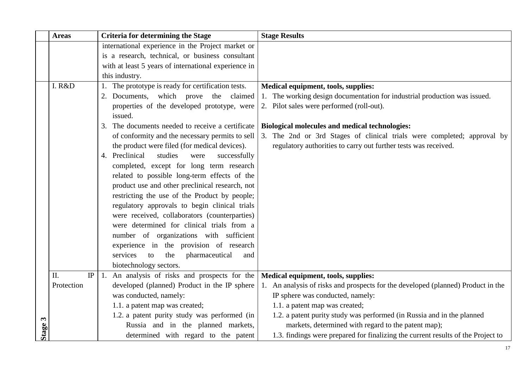|         | <b>Areas</b>        | <b>Criteria for determining the Stage</b>              | <b>Stage Results</b>                                                             |
|---------|---------------------|--------------------------------------------------------|----------------------------------------------------------------------------------|
|         |                     | international experience in the Project market or      |                                                                                  |
|         |                     | is a research, technical, or business consultant       |                                                                                  |
|         |                     | with at least 5 years of international experience in   |                                                                                  |
|         |                     | this industry.                                         |                                                                                  |
|         | I. R&D              | 1. The prototype is ready for certification tests.     | Medical equipment, tools, supplies:                                              |
|         |                     | 2. Documents, which prove the claimed                  | 1. The working design documentation for industrial production was issued.        |
|         |                     | properties of the developed prototype, were<br>issued. | 2. Pilot sales were performed (roll-out).                                        |
|         |                     | The documents needed to receive a certificate<br>3.    | <b>Biological molecules and medical technologies:</b>                            |
|         |                     | of conformity and the necessary permits to sell        | 3. The 2nd or 3rd Stages of clinical trials were completed; approval by          |
|         |                     | the product were filed (for medical devices).          | regulatory authorities to carry out further tests was received.                  |
|         |                     | 4. Preclinical<br>studies<br>successfully<br>were      |                                                                                  |
|         |                     | completed, except for long term research               |                                                                                  |
|         |                     | related to possible long-term effects of the           |                                                                                  |
|         |                     | product use and other preclinical research, not        |                                                                                  |
|         |                     | restricting the use of the Product by people;          |                                                                                  |
|         |                     | regulatory approvals to begin clinical trials          |                                                                                  |
|         |                     | were received, collaborators (counterparties)          |                                                                                  |
|         |                     | were determined for clinical trials from a             |                                                                                  |
|         |                     | number of organizations with sufficient                |                                                                                  |
|         |                     | experience in the provision of research                |                                                                                  |
|         |                     | services<br>the<br>pharmaceutical<br>to<br>and         |                                                                                  |
|         |                     | biotechnology sectors.                                 |                                                                                  |
|         | $\rm IP$<br>$\Pi$ . | 1. An analysis of risks and prospects for the          | Medical equipment, tools, supplies:                                              |
|         | Protection          | developed (planned) Product in the IP sphere           | 1. An analysis of risks and prospects for the developed (planned) Product in the |
|         |                     | was conducted, namely:                                 | IP sphere was conducted, namely:                                                 |
|         |                     | 1.1. a patent map was created;                         | 1.1. a patent map was created;                                                   |
|         |                     | 1.2. a patent purity study was performed (in           | 1.2. a patent purity study was performed (in Russia and in the planned           |
| Stage 3 |                     | Russia and in the planned markets,                     | markets, determined with regard to the patent map);                              |
|         |                     | determined with regard to the patent                   | 1.3. findings were prepared for finalizing the current results of the Project to |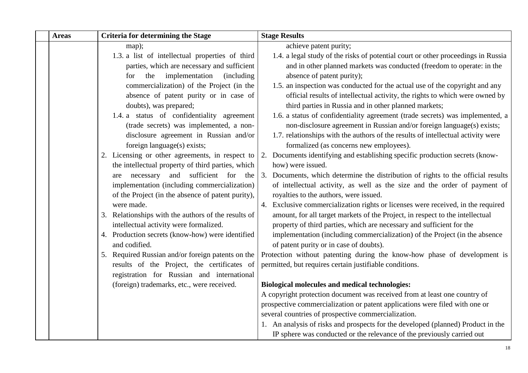| <b>Areas</b> | <b>Criteria for determining the Stage</b>                                                  | <b>Stage Results</b>                                                                                                   |
|--------------|--------------------------------------------------------------------------------------------|------------------------------------------------------------------------------------------------------------------------|
|              | map);                                                                                      | achieve patent purity;                                                                                                 |
|              | 1.3. a list of intellectual properties of third                                            | 1.4. a legal study of the risks of potential court or other proceedings in Russia                                      |
|              | parties, which are necessary and sufficient                                                | and in other planned markets was conducted (freedom to operate: in the                                                 |
|              | implementation<br>the<br>(including)<br>for                                                | absence of patent purity);                                                                                             |
|              | commercialization) of the Project (in the                                                  | 1.5. an inspection was conducted for the actual use of the copyright and any                                           |
|              | absence of patent purity or in case of                                                     | official results of intellectual activity, the rights to which were owned by                                           |
|              | doubts), was prepared;                                                                     | third parties in Russia and in other planned markets;                                                                  |
|              | 1.4. a status of confidentiality agreement                                                 | 1.6. a status of confidentiality agreement (trade secrets) was implemented, a                                          |
|              | (trade secrets) was implemented, a non-                                                    | non-disclosure agreement in Russian and/or foreign language(s) exists;                                                 |
|              | disclosure agreement in Russian and/or                                                     | 1.7. relationships with the authors of the results of intellectual activity were                                       |
|              | foreign language(s) exists;                                                                | formalized (as concerns new employees).                                                                                |
|              | 2. Licensing or other agreements, in respect to                                            | 2. Documents identifying and establishing specific production secrets (know-                                           |
|              | the intellectual property of third parties, which                                          | how) were issued.                                                                                                      |
|              | necessary<br>and sufficient for the<br>are                                                 | 3. Documents, which determine the distribution of rights to the official results                                       |
|              | implementation (including commercialization)                                               | of intellectual activity, as well as the size and the order of payment of                                              |
|              | of the Project (in the absence of patent purity),                                          | royalties to the authors, were issued.                                                                                 |
|              | were made.                                                                                 | 4. Exclusive commercialization rights or licenses were received, in the required                                       |
|              | 3. Relationships with the authors of the results of                                        | amount, for all target markets of the Project, in respect to the intellectual                                          |
|              | intellectual activity were formalized.<br>4. Production secrets (know-how) were identified | property of third parties, which are necessary and sufficient for the                                                  |
|              | and codified.                                                                              | implementation (including commercialization) of the Project (in the absence<br>of patent purity or in case of doubts). |
|              | 5. Required Russian and/or foreign patents on the                                          | Protection without patenting during the know-how phase of development is                                               |
|              | results of the Project, the certificates of                                                | permitted, but requires certain justifiable conditions.                                                                |
|              | registration for Russian and international                                                 |                                                                                                                        |
|              | (foreign) trademarks, etc., were received.                                                 | <b>Biological molecules and medical technologies:</b>                                                                  |
|              |                                                                                            | A copyright protection document was received from at least one country of                                              |
|              |                                                                                            | prospective commercialization or patent applications were filed with one or                                            |
|              |                                                                                            | several countries of prospective commercialization.                                                                    |
|              |                                                                                            | 1. An analysis of risks and prospects for the developed (planned) Product in the                                       |
|              |                                                                                            | IP sphere was conducted or the relevance of the previously carried out                                                 |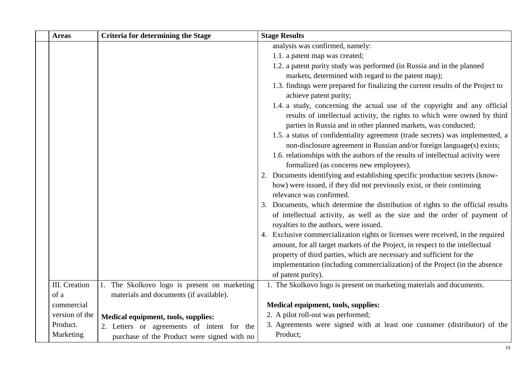| <b>Areas</b>   | <b>Criteria for determining the Stage</b>    | <b>Stage Results</b>                                                                                                                                                                                                     |
|----------------|----------------------------------------------|--------------------------------------------------------------------------------------------------------------------------------------------------------------------------------------------------------------------------|
|                |                                              | analysis was confirmed, namely:                                                                                                                                                                                          |
|                |                                              | 1.1. a patent map was created;                                                                                                                                                                                           |
|                |                                              | 1.2. a patent purity study was performed (in Russia and in the planned                                                                                                                                                   |
|                |                                              | markets, determined with regard to the patent map);                                                                                                                                                                      |
|                |                                              | 1.3. findings were prepared for finalizing the current results of the Project to<br>achieve patent purity;                                                                                                               |
|                |                                              | 1.4. a study, concerning the actual use of the copyright and any official<br>results of intellectual activity, the rights to which were owned by third<br>parties in Russia and in other planned markets, was conducted; |
|                |                                              | 1.5. a status of confidentiality agreement (trade secrets) was implemented, a<br>non-disclosure agreement in Russian and/or foreign language(s) exists;                                                                  |
|                |                                              | 1.6. relationships with the authors of the results of intellectual activity were<br>formalized (as concerns new employees).                                                                                              |
|                |                                              | 2. Documents identifying and establishing specific production secrets (know-                                                                                                                                             |
|                |                                              | how) were issued, if they did not previously exist, or their continuing                                                                                                                                                  |
|                |                                              | relevance was confirmed.                                                                                                                                                                                                 |
|                |                                              | 3. Documents, which determine the distribution of rights to the official results                                                                                                                                         |
|                |                                              | of intellectual activity, as well as the size and the order of payment of<br>royalties to the authors, were issued.                                                                                                      |
|                |                                              | 4. Exclusive commercialization rights or licenses were received, in the required                                                                                                                                         |
|                |                                              | amount, for all target markets of the Project, in respect to the intellectual<br>property of third parties, which are necessary and sufficient for the                                                                   |
|                |                                              | implementation (including commercialization) of the Project (in the absence                                                                                                                                              |
|                |                                              | of patent purity).                                                                                                                                                                                                       |
| III. Creation  | 1. The Skolkovo logo is present on marketing | 1. The Skolkovo logo is present on marketing materials and documents.                                                                                                                                                    |
| of a           | materials and documents (if available).      |                                                                                                                                                                                                                          |
| commercial     |                                              | Medical equipment, tools, supplies:                                                                                                                                                                                      |
| version of the | Medical equipment, tools, supplies:          | 2. A pilot roll-out was performed;                                                                                                                                                                                       |
| Product.       | 2. Letters or agreements of intent for the   | 3. Agreements were signed with at least one customer (distributor) of the                                                                                                                                                |
| Marketing      | purchase of the Product were signed with no  | Product;                                                                                                                                                                                                                 |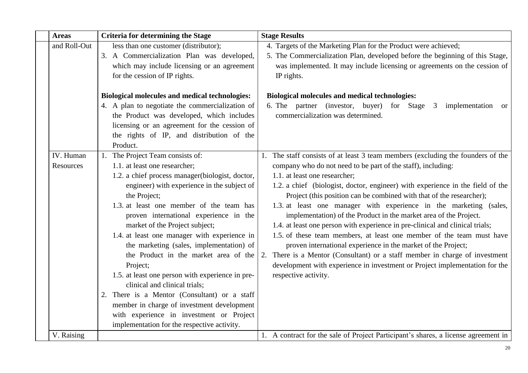| <b>Areas</b>           | <b>Criteria for determining the Stage</b>                                                                                                                                                                                                                                                                                                                                                                                                                                                                                                                                                                                                                                                                                                  | <b>Stage Results</b>                                                                                                                                                                                                                                                                                                                                                                                                                                                                                                                                                                                                                                                                                                                                                                                                                                                                                   |
|------------------------|--------------------------------------------------------------------------------------------------------------------------------------------------------------------------------------------------------------------------------------------------------------------------------------------------------------------------------------------------------------------------------------------------------------------------------------------------------------------------------------------------------------------------------------------------------------------------------------------------------------------------------------------------------------------------------------------------------------------------------------------|--------------------------------------------------------------------------------------------------------------------------------------------------------------------------------------------------------------------------------------------------------------------------------------------------------------------------------------------------------------------------------------------------------------------------------------------------------------------------------------------------------------------------------------------------------------------------------------------------------------------------------------------------------------------------------------------------------------------------------------------------------------------------------------------------------------------------------------------------------------------------------------------------------|
| and Roll-Out           | less than one customer (distributor);<br>3. A Commercialization Plan was developed,<br>which may include licensing or an agreement<br>for the cession of IP rights.                                                                                                                                                                                                                                                                                                                                                                                                                                                                                                                                                                        | 4. Targets of the Marketing Plan for the Product were achieved;<br>5. The Commercialization Plan, developed before the beginning of this Stage,<br>was implemented. It may include licensing or agreements on the cession of<br>IP rights.                                                                                                                                                                                                                                                                                                                                                                                                                                                                                                                                                                                                                                                             |
|                        | <b>Biological molecules and medical technologies:</b><br>4. A plan to negotiate the commercialization of<br>the Product was developed, which includes<br>licensing or an agreement for the cession of<br>the rights of IP, and distribution of the<br>Product.                                                                                                                                                                                                                                                                                                                                                                                                                                                                             | <b>Biological molecules and medical technologies:</b><br>6. The partner (investor, buyer) for Stage<br>3<br>implementation or<br>commercialization was determined.                                                                                                                                                                                                                                                                                                                                                                                                                                                                                                                                                                                                                                                                                                                                     |
| IV. Human<br>Resources | 1. The Project Team consists of:<br>1.1. at least one researcher;<br>1.2. a chief process manager(biologist, doctor,<br>engineer) with experience in the subject of<br>the Project;<br>1.3. at least one member of the team has<br>proven international experience in the<br>market of the Project subject;<br>1.4. at least one manager with experience in<br>the marketing (sales, implementation) of<br>the Product in the market area of the<br>Project;<br>1.5. at least one person with experience in pre-<br>clinical and clinical trials;<br>2. There is a Mentor (Consultant) or a staff<br>member in charge of investment development<br>with experience in investment or Project<br>implementation for the respective activity. | 1. The staff consists of at least 3 team members (excluding the founders of the<br>company who do not need to be part of the staff), including:<br>1.1. at least one researcher;<br>1.2. a chief (biologist, doctor, engineer) with experience in the field of the<br>Project (this position can be combined with that of the researcher);<br>1.3. at least one manager with experience in the marketing (sales,<br>implementation) of the Product in the market area of the Project.<br>1.4. at least one person with experience in pre-clinical and clinical trials;<br>1.5. of these team members, at least one member of the team must have<br>proven international experience in the market of the Project;<br>2. There is a Mentor (Consultant) or a staff member in charge of investment<br>development with experience in investment or Project implementation for the<br>respective activity. |
| V. Raising             |                                                                                                                                                                                                                                                                                                                                                                                                                                                                                                                                                                                                                                                                                                                                            | 1. A contract for the sale of Project Participant's shares, a license agreement in                                                                                                                                                                                                                                                                                                                                                                                                                                                                                                                                                                                                                                                                                                                                                                                                                     |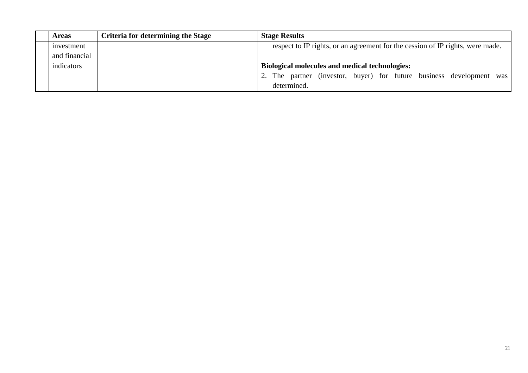| <b>Areas</b>  | Criteria for determining the Stage | <b>Stage Results</b>                                                           |
|---------------|------------------------------------|--------------------------------------------------------------------------------|
| investment    |                                    | respect to IP rights, or an agreement for the cession of IP rights, were made. |
| and financial |                                    |                                                                                |
| indicators    |                                    | <b>Biological molecules and medical technologies:</b>                          |
|               |                                    | 2. The partner (investor, buyer) for future business development was           |
|               |                                    | determined.                                                                    |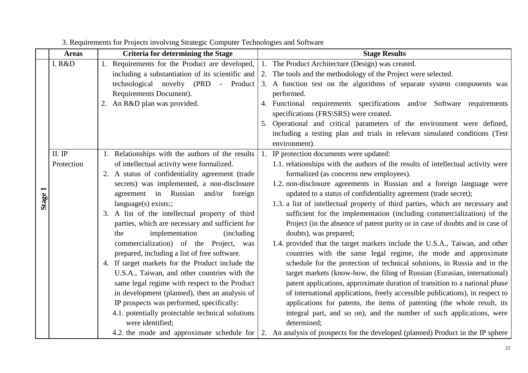<span id="page-22-0"></span>

|         | <b>Areas</b> | <b>Criteria for determining the Stage</b>                                                                         | <b>Stage Results</b>                                                                                                                                                                                                                                                                          |
|---------|--------------|-------------------------------------------------------------------------------------------------------------------|-----------------------------------------------------------------------------------------------------------------------------------------------------------------------------------------------------------------------------------------------------------------------------------------------|
|         | I. R&D       | 1. Requirements for the Product are developed,                                                                    | 1. The Product Architecture (Design) was created.                                                                                                                                                                                                                                             |
|         |              | including a substantiation of its scientific and                                                                  | 2. The tools and the methodology of the Project were selected.                                                                                                                                                                                                                                |
|         |              | technological novelty (PRD - Product                                                                              | 3. A function test on the algorithms of separate system components was                                                                                                                                                                                                                        |
|         |              | Requirements Document).                                                                                           | performed.                                                                                                                                                                                                                                                                                    |
|         |              | 2. An R&D plan was provided.                                                                                      | 4. Functional requirements specifications and/or Software requirements                                                                                                                                                                                                                        |
|         |              |                                                                                                                   | specifications (FRS\SRS) were created.                                                                                                                                                                                                                                                        |
|         |              |                                                                                                                   | 5. Operational and critical parameters of the environment were defined,                                                                                                                                                                                                                       |
|         |              |                                                                                                                   | including a testing plan and trials in relevant simulated conditions (Test                                                                                                                                                                                                                    |
|         |              |                                                                                                                   | environment).                                                                                                                                                                                                                                                                                 |
|         | II. IP       | 1. Relationships with the authors of the results                                                                  | 1. IP protection documents were updated:                                                                                                                                                                                                                                                      |
|         | Protection   | of intellectual activity were formalized.                                                                         | 1.1. relationships with the authors of the results of intellectual activity were                                                                                                                                                                                                              |
|         |              | 2. A status of confidentiality agreement (trade                                                                   | formalized (as concerns new employees).                                                                                                                                                                                                                                                       |
|         |              | secrets) was implemented, a non-disclosure                                                                        | 1.2. non-disclosure agreements in Russian and a foreign language were                                                                                                                                                                                                                         |
| Stage 1 |              | agreement in Russian and/or foreign                                                                               | updated to a status of confidentiality agreement (trade secret);                                                                                                                                                                                                                              |
|         |              | language(s) exists;                                                                                               | 1.3. a list of intellectual property of third parties, which are necessary and                                                                                                                                                                                                                |
|         |              | 3. A list of the intellectual property of third                                                                   | sufficient for the implementation (including commercialization) of the                                                                                                                                                                                                                        |
|         |              | parties, which are necessary and sufficient for                                                                   | Project (in the absence of patent purity or in case of doubts and in case of                                                                                                                                                                                                                  |
|         |              | implementation<br><i>(including)</i><br>the                                                                       | doubts), was prepared;                                                                                                                                                                                                                                                                        |
|         |              | commercialization) of the Project, was                                                                            | 1.4. provided that the target markets include the U.S.A., Taiwan, and other                                                                                                                                                                                                                   |
|         |              | prepared, including a list of free software.                                                                      | countries with the same legal regime, the mode and approximate                                                                                                                                                                                                                                |
|         |              | 4. If target markets for the Product include the                                                                  | schedule for the protection of technical solutions, in Russia and in the                                                                                                                                                                                                                      |
|         |              | U.S.A., Taiwan, and other countries with the                                                                      | target markets (know-how, the filing of Russian (Eurasian, international)                                                                                                                                                                                                                     |
|         |              | same legal regime with respect to the Product                                                                     | patent applications, approximate duration of transition to a national phase                                                                                                                                                                                                                   |
|         |              | in development (planned), then an analysis of                                                                     | of international applications, freely accessible publications), in respect to                                                                                                                                                                                                                 |
|         |              |                                                                                                                   |                                                                                                                                                                                                                                                                                               |
|         |              |                                                                                                                   |                                                                                                                                                                                                                                                                                               |
|         |              |                                                                                                                   |                                                                                                                                                                                                                                                                                               |
|         |              | IP prospects was performed, specifically:<br>4.1. potentially protectable technical solutions<br>were identified; | applications for patents, the items of patenting (the whole result, its<br>integral part, and so on), and the number of such applications, were<br>determined:<br>4.2. the mode and approximate schedule for 2. An analysis of prospects for the developed (planned) Product in the IP sphere |

# 3. Requirements for Projects involving Strategic Computer Technologies and Software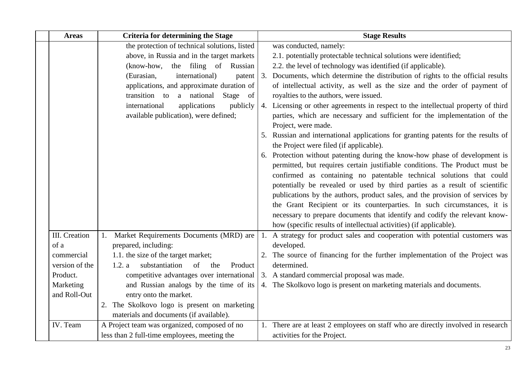| <b>Areas</b>   | <b>Criteria for determining the Stage</b>        | <b>Stage Results</b>                                                              |
|----------------|--------------------------------------------------|-----------------------------------------------------------------------------------|
|                | the protection of technical solutions, listed    | was conducted, namely:                                                            |
|                | above, in Russia and in the target markets       | 2.1. potentially protectable technical solutions were identified;                 |
|                | the filing of Russian<br>(know-how,              | 2.2. the level of technology was identified (if applicable).                      |
|                | international)<br>(Eurasian,<br>patent           | 3. Documents, which determine the distribution of rights to the official results  |
|                | applications, and approximate duration of        | of intellectual activity, as well as the size and the order of payment of         |
|                | Stage of<br>transition to a national             | royalties to the authors, were issued.                                            |
|                | international<br>applications<br>publicly        | 4. Licensing or other agreements in respect to the intellectual property of third |
|                | available publication), were defined;            | parties, which are necessary and sufficient for the implementation of the         |
|                |                                                  | Project, were made.                                                               |
|                |                                                  | 5. Russian and international applications for granting patents for the results of |
|                |                                                  | the Project were filed (if applicable).                                           |
|                |                                                  | 6. Protection without patenting during the know-how phase of development is       |
|                |                                                  | permitted, but requires certain justifiable conditions. The Product must be       |
|                |                                                  | confirmed as containing no patentable technical solutions that could              |
|                |                                                  | potentially be revealed or used by third parties as a result of scientific        |
|                |                                                  | publications by the authors, product sales, and the provision of services by      |
|                |                                                  | the Grant Recipient or its counterparties. In such circumstances, it is           |
|                |                                                  | necessary to prepare documents that identify and codify the relevant know-        |
|                |                                                  | how (specific results of intellectual activities) (if applicable).                |
| III. Creation  | Market Requirements Documents (MRD) are<br>1.    | 1. A strategy for product sales and cooperation with potential customers was      |
| of a           | prepared, including:                             | developed.                                                                        |
| commercial     | 1.1. the size of the target market;              | 2. The source of financing for the further implementation of the Project was      |
| version of the | substantiation<br>of<br>1.2. a<br>the<br>Product | determined.                                                                       |
| Product.       | competitive advantages over international        | 3. A standard commercial proposal was made.                                       |
| Marketing      | and Russian analogs by the time of its           | 4. The Skolkovo logo is present on marketing materials and documents.             |
| and Roll-Out   | entry onto the market.                           |                                                                                   |
|                | 2. The Skolkovo logo is present on marketing     |                                                                                   |
|                | materials and documents (if available).          |                                                                                   |
| IV. Team       | A Project team was organized, composed of no     | 1. There are at least 2 employees on staff who are directly involved in research  |
|                | less than 2 full-time employees, meeting the     | activities for the Project.                                                       |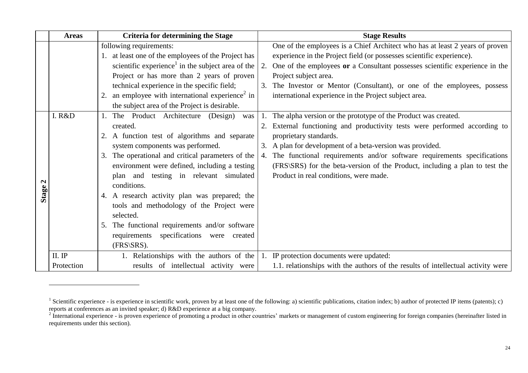|         | <b>Areas</b> | <b>Criteria for determining the Stage</b>                     | <b>Stage Results</b>                                                             |
|---------|--------------|---------------------------------------------------------------|----------------------------------------------------------------------------------|
|         |              | following requirements:                                       | One of the employees is a Chief Architect who has at least 2 years of proven     |
|         |              | 1. at least one of the employees of the Project has           | experience in the Project field (or possesses scientific experience).            |
|         |              | scientific experience <sup>1</sup> in the subject area of the | 2. One of the employees or a Consultant possesses scientific experience in the   |
|         |              | Project or has more than 2 years of proven                    | Project subject area.                                                            |
|         |              | technical experience in the specific field;                   | 3. The Investor or Mentor (Consultant), or one of the employees, possess         |
|         |              | an employee with international experience <sup>2</sup> in     | international experience in the Project subject area.                            |
|         |              | the subject area of the Project is desirable.                 |                                                                                  |
|         | I. R&D       | The Product Architecture (Design)<br>was                      | The alpha version or the prototype of the Product was created.                   |
|         |              | created.                                                      | 2. External functioning and productivity tests were performed according to       |
|         |              | A function test of algorithms and separate                    | proprietary standards.                                                           |
|         |              | system components was performed.                              | 3. A plan for development of a beta-version was provided.                        |
|         |              | The operational and critical parameters of the<br>3.          | 4. The functional requirements and/or software requirements specifications       |
|         |              | environment were defined, including a testing                 | (FRS\SRS) for the beta-version of the Product, including a plan to test the      |
|         |              | plan and testing in relevant simulated                        | Product in real conditions, were made.                                           |
| Stage 2 |              | conditions.                                                   |                                                                                  |
|         |              | 4. A research activity plan was prepared; the                 |                                                                                  |
|         |              | tools and methodology of the Project were                     |                                                                                  |
|         |              | selected.                                                     |                                                                                  |
|         |              | The functional requirements and/or software                   |                                                                                  |
|         |              | requirements specifications were<br>created                   |                                                                                  |
|         |              | $(FRS SRS)$ .                                                 |                                                                                  |
|         | II. IP       | 1. Relationships with the authors of the                      | 1. IP protection documents were updated:                                         |
|         | Protection   | results of intellectual activity were                         | 1.1. relationships with the authors of the results of intellectual activity were |

 $\overline{a}$ 

<sup>&</sup>lt;sup>1</sup> Scientific experience - is experience in scientific work, proven by at least one of the following: a) scientific publications, citation index; b) author of protected IP items (patents); c)

reports at conferences as an invited speaker; d) R&D experience at a big company.<br><sup>2</sup> International experience - is proven experience of promoting a product in other countries' markets or management of custom engineering f requirements under this section).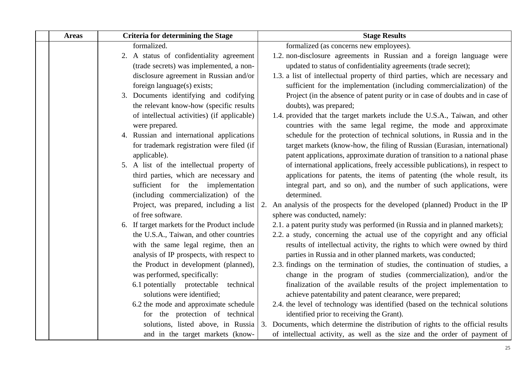| <b>Areas</b> | <b>Criteria for determining the Stage</b>                                                                                                          | <b>Stage Results</b>                                                                                                                                                                                                                                                                        |
|--------------|----------------------------------------------------------------------------------------------------------------------------------------------------|---------------------------------------------------------------------------------------------------------------------------------------------------------------------------------------------------------------------------------------------------------------------------------------------|
|              | formalized.                                                                                                                                        | formalized (as concerns new employees).                                                                                                                                                                                                                                                     |
|              | 2. A status of confidentiality agreement                                                                                                           | 1.2. non-disclosure agreements in Russian and a foreign language were                                                                                                                                                                                                                       |
|              | (trade secrets) was implemented, a non-                                                                                                            | updated to status of confidentiality agreements (trade secret);                                                                                                                                                                                                                             |
|              | disclosure agreement in Russian and/or                                                                                                             | 1.3. a list of intellectual property of third parties, which are necessary and                                                                                                                                                                                                              |
|              | foreign language(s) exists;                                                                                                                        | sufficient for the implementation (including commercialization) of the                                                                                                                                                                                                                      |
|              | 3. Documents identifying and codifying                                                                                                             | Project (in the absence of patent purity or in case of doubts and in case of                                                                                                                                                                                                                |
|              | the relevant know-how (specific results                                                                                                            | doubts), was prepared;                                                                                                                                                                                                                                                                      |
|              | of intellectual activities) (if applicable)                                                                                                        | 1.4. provided that the target markets include the U.S.A., Taiwan, and other                                                                                                                                                                                                                 |
|              | were prepared.                                                                                                                                     | countries with the same legal regime, the mode and approximate                                                                                                                                                                                                                              |
|              | 4. Russian and international applications                                                                                                          | schedule for the protection of technical solutions, in Russia and in the                                                                                                                                                                                                                    |
|              | for trademark registration were filed (if                                                                                                          | target markets (know-how, the filing of Russian (Eurasian, international)                                                                                                                                                                                                                   |
|              | applicable).                                                                                                                                       | patent applications, approximate duration of transition to a national phase                                                                                                                                                                                                                 |
|              | 5. A list of the intellectual property of                                                                                                          | of international applications, freely accessible publications), in respect to                                                                                                                                                                                                               |
|              | third parties, which are necessary and                                                                                                             | applications for patents, the items of patenting (the whole result, its                                                                                                                                                                                                                     |
|              | sufficient for the implementation                                                                                                                  | integral part, and so on), and the number of such applications, were                                                                                                                                                                                                                        |
|              | (including commercialization) of the                                                                                                               | determined.                                                                                                                                                                                                                                                                                 |
|              | Project, was prepared, including a list                                                                                                            | An analysis of the prospects for the developed (planned) Product in the IP<br>2.                                                                                                                                                                                                            |
|              | of free software.                                                                                                                                  | sphere was conducted, namely:                                                                                                                                                                                                                                                               |
|              | 6. If target markets for the Product include                                                                                                       | 2.1. a patent purity study was performed (in Russia and in planned markets);                                                                                                                                                                                                                |
|              | the U.S.A., Taiwan, and other countries                                                                                                            | 2.2. a study, concerning the actual use of the copyright and any official                                                                                                                                                                                                                   |
|              | with the same legal regime, then an                                                                                                                | results of intellectual activity, the rights to which were owned by third                                                                                                                                                                                                                   |
|              | analysis of IP prospects, with respect to<br>the Product in development (planned),                                                                 | parties in Russia and in other planned markets, was conducted;<br>2.3. findings on the termination of studies, the continuation of studies, a                                                                                                                                               |
|              | was performed, specifically:                                                                                                                       | change in the program of studies (commercialization), and/or the                                                                                                                                                                                                                            |
|              | 6.1 potentially protectable<br>technical                                                                                                           | finalization of the available results of the project implementation to                                                                                                                                                                                                                      |
|              | solutions were identified;                                                                                                                         | achieve patentability and patent clearance, were prepared;                                                                                                                                                                                                                                  |
|              |                                                                                                                                                    |                                                                                                                                                                                                                                                                                             |
|              |                                                                                                                                                    |                                                                                                                                                                                                                                                                                             |
|              |                                                                                                                                                    |                                                                                                                                                                                                                                                                                             |
|              |                                                                                                                                                    |                                                                                                                                                                                                                                                                                             |
|              | 6.2 the mode and approximate schedule<br>for the protection of technical<br>solutions, listed above, in Russia<br>and in the target markets (know- | 2.4. the level of technology was identified (based on the technical solutions<br>identified prior to receiving the Grant).<br>3. Documents, which determine the distribution of rights to the official results<br>of intellectual activity, as well as the size and the order of payment of |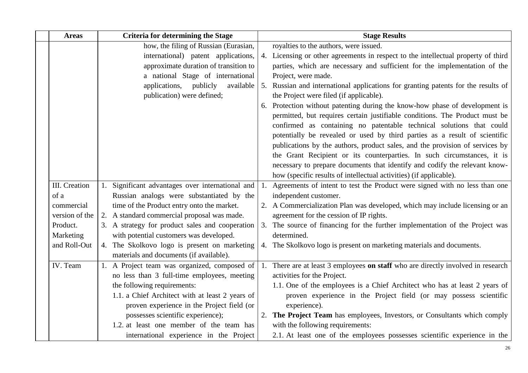| <b>Areas</b>          | <b>Criteria for determining the Stage</b>                                                  | <b>Stage Results</b>                                                                                                                                                                                                               |
|-----------------------|--------------------------------------------------------------------------------------------|------------------------------------------------------------------------------------------------------------------------------------------------------------------------------------------------------------------------------------|
|                       | how, the filing of Russian (Eurasian,                                                      | royalties to the authors, were issued.                                                                                                                                                                                             |
|                       | international) patent applications,                                                        | 4. Licensing or other agreements in respect to the intellectual property of third                                                                                                                                                  |
|                       | approximate duration of transition to                                                      | parties, which are necessary and sufficient for the implementation of the                                                                                                                                                          |
|                       | a national Stage of international                                                          | Project, were made.                                                                                                                                                                                                                |
|                       | applications, publicly<br>available<br>publication) were defined;                          | 5. Russian and international applications for granting patents for the results of<br>the Project were filed (if applicable).                                                                                                       |
|                       |                                                                                            | 6. Protection without patenting during the know-how phase of development is<br>permitted, but requires certain justifiable conditions. The Product must be<br>confirmed as containing no patentable technical solutions that could |
|                       |                                                                                            | potentially be revealed or used by third parties as a result of scientific                                                                                                                                                         |
|                       |                                                                                            | publications by the authors, product sales, and the provision of services by                                                                                                                                                       |
|                       |                                                                                            | the Grant Recipient or its counterparties. In such circumstances, it is                                                                                                                                                            |
|                       |                                                                                            | necessary to prepare documents that identify and codify the relevant know-                                                                                                                                                         |
|                       |                                                                                            | how (specific results of intellectual activities) (if applicable).                                                                                                                                                                 |
| III. Creation         | 1. Significant advantages over international and                                           | 1. Agreements of intent to test the Product were signed with no less than one                                                                                                                                                      |
| of a                  | Russian analogs were substantiated by the                                                  | independent customer.                                                                                                                                                                                                              |
| commercial            | time of the Product entry onto the market.                                                 | 2. A Commercialization Plan was developed, which may include licensing or an                                                                                                                                                       |
| version of the        | 2. A standard commercial proposal was made.                                                | agreement for the cession of IP rights.                                                                                                                                                                                            |
| Product.<br>Marketing | 3. A strategy for product sales and cooperation<br>with potential customers was developed. | 3. The source of financing for the further implementation of the Project was<br>determined.                                                                                                                                        |
| and Roll-Out          | 4. The Skolkovo logo is present on marketing<br>materials and documents (if available).    | 4. The Skolkovo logo is present on marketing materials and documents.                                                                                                                                                              |
| IV. Team              | 1. A Project team was organized, composed of                                               | 1. There are at least 3 employees on staff who are directly involved in research                                                                                                                                                   |
|                       | no less than 3 full-time employees, meeting                                                | activities for the Project.                                                                                                                                                                                                        |
|                       | the following requirements:                                                                | 1.1. One of the employees is a Chief Architect who has at least 2 years of                                                                                                                                                         |
|                       | 1.1. a Chief Architect with at least 2 years of                                            | proven experience in the Project field (or may possess scientific                                                                                                                                                                  |
|                       | proven experience in the Project field (or                                                 | experience).                                                                                                                                                                                                                       |
|                       | possesses scientific experience);                                                          | 2. The Project Team has employees, Investors, or Consultants which comply                                                                                                                                                          |
|                       | 1.2. at least one member of the team has                                                   | with the following requirements:                                                                                                                                                                                                   |
|                       | international experience in the Project                                                    | 2.1. At least one of the employees possesses scientific experience in the                                                                                                                                                          |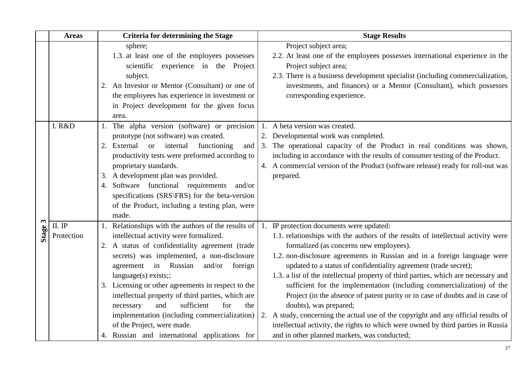|            | <b>Areas</b>                        | <b>Criteria for determining the Stage</b>                                                                                                                                                                                                                                                                                                                                                                                                                                                                                                                    | <b>Stage Results</b>                                                                                                                                                                                                                                                                                                                                                                                                                                                                                                                                                                                                                                                                                                                                                                                                     |
|------------|-------------------------------------|--------------------------------------------------------------------------------------------------------------------------------------------------------------------------------------------------------------------------------------------------------------------------------------------------------------------------------------------------------------------------------------------------------------------------------------------------------------------------------------------------------------------------------------------------------------|--------------------------------------------------------------------------------------------------------------------------------------------------------------------------------------------------------------------------------------------------------------------------------------------------------------------------------------------------------------------------------------------------------------------------------------------------------------------------------------------------------------------------------------------------------------------------------------------------------------------------------------------------------------------------------------------------------------------------------------------------------------------------------------------------------------------------|
|            |                                     | sphere;<br>1.3. at least one of the employees possesses<br>scientific experience in the Project<br>subject.<br>2. An Investor or Mentor (Consultant) or one of<br>the employees has experience in investment or<br>in Project development for the given focus<br>area.                                                                                                                                                                                                                                                                                       | Project subject area;<br>2.2. At least one of the employees possesses international experience in the<br>Project subject area;<br>2.3. There is a business development specialist (including commercialization,<br>investments, and finances) or a Mentor (Consultant), which possesses<br>corresponding experience.                                                                                                                                                                                                                                                                                                                                                                                                                                                                                                     |
|            | I. R&D                              | 1. The alpha version (software) or precision<br>prototype (not software) was created.<br>2. External or internal<br>functioning<br>and<br>productivity tests were preformed according to<br>proprietary standards.<br>3. A development plan was provided.<br>Software functional requirements<br>and/or<br>4.<br>specifications (SRS\FRS) for the beta-version<br>of the Product, including a testing plan, were<br>made.                                                                                                                                    | 1. A beta version was created.<br>2. Developmental work was completed.<br>3. The operational capacity of the Product in real conditions was shown,<br>including in accordance with the results of consumer testing of the Product.<br>4. A commercial version of the Product (software release) ready for roll-out was<br>prepared.                                                                                                                                                                                                                                                                                                                                                                                                                                                                                      |
| 3<br>Stage | $\,$ II. $\,$ IP $\,$<br>Protection | 1. Relationships with the authors of the results of<br>intellectual activity were formalized.<br>2. A status of confidentiality agreement (trade<br>secrets) was implemented, a non-disclosure<br>agreement in Russian<br>and/or<br>foreign<br>language(s) exists;<br>3. Licensing or other agreements in respect to the<br>intellectual property of third parties, which are<br>sufficient<br>for<br>the<br>and<br>necessary<br>implementation (including commercialization)<br>of the Project, were made.<br>4. Russian and international applications for | IP protection documents were updated:<br>1.1. relationships with the authors of the results of intellectual activity were<br>formalized (as concerns new employees).<br>1.2. non-disclosure agreements in Russian and in a foreign language were<br>updated to a status of confidentiality agreement (trade secret);<br>1.3. a list of the intellectual property of third parties, which are necessary and<br>sufficient for the implementation (including commercialization) of the<br>Project (in the absence of patent purity or in case of doubts and in case of<br>doubts), was prepared;<br>2. A study, concerning the actual use of the copyright and any official results of<br>intellectual activity, the rights to which were owned by third parties in Russia<br>and in other planned markets, was conducted; |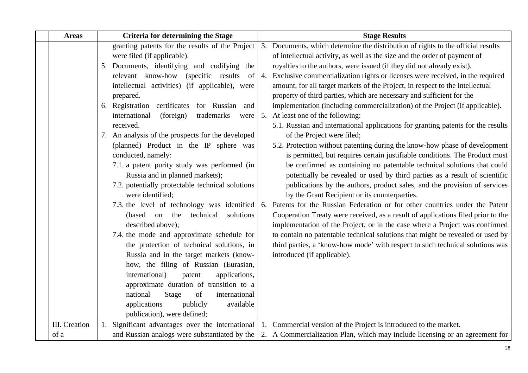| <b>Areas</b>         | <b>Criteria for determining the Stage</b>          | <b>Stage Results</b>                                                             |
|----------------------|----------------------------------------------------|----------------------------------------------------------------------------------|
|                      | granting patents for the results of the Project    | 3. Documents, which determine the distribution of rights to the official results |
|                      | were filed (if applicable).                        | of intellectual activity, as well as the size and the order of payment of        |
|                      | 5. Documents, identifying and codifying the        | royalties to the authors, were issued (if they did not already exist).           |
|                      | relevant know-how (specific results<br>of          | 4. Exclusive commercialization rights or licenses were received, in the required |
|                      | intellectual activities) (if applicable), were     | amount, for all target markets of the Project, in respect to the intellectual    |
|                      | prepared.                                          | property of third parties, which are necessary and sufficient for the            |
|                      | 6. Registration certificates<br>for Russian<br>and | implementation (including commercialization) of the Project (if applicable).     |
|                      | international<br>(foreign)<br>trademarks<br>were   | 5. At least one of the following:                                                |
|                      | received.                                          | 5.1. Russian and international applications for granting patents for the results |
|                      | 7. An analysis of the prospects for the developed  | of the Project were filed;                                                       |
|                      | (planned) Product in the IP sphere was             | 5.2. Protection without patenting during the know-how phase of development       |
|                      | conducted, namely:                                 | is permitted, but requires certain justifiable conditions. The Product must      |
|                      | 7.1. a patent purity study was performed (in       | be confirmed as containing no patentable technical solutions that could          |
|                      | Russia and in planned markets);                    | potentially be revealed or used by third parties as a result of scientific       |
|                      | 7.2. potentially protectable technical solutions   | publications by the authors, product sales, and the provision of services        |
|                      | were identified;                                   | by the Grant Recipient or its counterparties.                                    |
|                      | 7.3. the level of technology was identified        | 6. Patents for the Russian Federation or for other countries under the Patent    |
|                      | (based)<br>technical<br>solutions<br>the<br>on     | Cooperation Treaty were received, as a result of applications filed prior to the |
|                      | described above);                                  | implementation of the Project, or in the case where a Project was confirmed      |
|                      | 7.4. the mode and approximate schedule for         | to contain no patentable technical solutions that might be revealed or used by   |
|                      | the protection of technical solutions, in          | third parties, a 'know-how mode' with respect to such technical solutions was    |
|                      | Russia and in the target markets (know-            | introduced (if applicable).                                                      |
|                      | how, the filing of Russian (Eurasian,              |                                                                                  |
|                      | international)<br>applications,<br>patent          |                                                                                  |
|                      | approximate duration of transition to a            |                                                                                  |
|                      | national<br>Stage<br>of<br>international           |                                                                                  |
|                      | applications<br>publicly<br>available              |                                                                                  |
|                      | publication), were defined;                        |                                                                                  |
| <b>III.</b> Creation | 1. Significant advantages over the international   | 1. Commercial version of the Project is introduced to the market.                |
| of a                 | and Russian analogs were substantiated by the      | 2. A Commercialization Plan, which may include licensing or an agreement for     |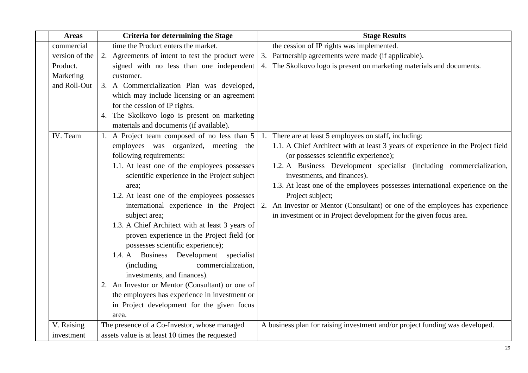| <b>Areas</b>   | <b>Criteria for determining the Stage</b>        | <b>Stage Results</b>                                                            |
|----------------|--------------------------------------------------|---------------------------------------------------------------------------------|
| commercial     | time the Product enters the market.              | the cession of IP rights was implemented.                                       |
| version of the | 2. Agreements of intent to test the product were | Partnership agreements were made (if applicable).<br>3.                         |
| Product.       | signed with no less than one independent         | 4. The Skolkovo logo is present on marketing materials and documents.           |
| Marketing      | customer.                                        |                                                                                 |
| and Roll-Out   | 3. A Commercialization Plan was developed,       |                                                                                 |
|                | which may include licensing or an agreement      |                                                                                 |
|                | for the cession of IP rights.                    |                                                                                 |
|                | 4. The Skolkovo logo is present on marketing     |                                                                                 |
|                | materials and documents (if available).          |                                                                                 |
| IV. Team       | 1. A Project team composed of no less than 5     | 1. There are at least 5 employees on staff, including:                          |
|                | employees was organized, meeting the             | 1.1. A Chief Architect with at least 3 years of experience in the Project field |
|                | following requirements:                          | (or possesses scientific experience);                                           |
|                | 1.1. At least one of the employees possesses     | 1.2. A Business Development specialist (including commercialization,            |
|                | scientific experience in the Project subject     | investments, and finances).                                                     |
|                | area;                                            | 1.3. At least one of the employees possesses international experience on the    |
|                | 1.2. At least one of the employees possesses     | Project subject;                                                                |
|                | international experience in the Project          | 2. An Investor or Mentor (Consultant) or one of the employees has experience    |
|                | subject area;                                    | in investment or in Project development for the given focus area.               |
|                | 1.3. A Chief Architect with at least 3 years of  |                                                                                 |
|                | proven experience in the Project field (or       |                                                                                 |
|                | possesses scientific experience);                |                                                                                 |
|                | 1.4. A Business Development specialist           |                                                                                 |
|                | commercialization,<br>(including)                |                                                                                 |
|                | investments, and finances).                      |                                                                                 |
|                | 2. An Investor or Mentor (Consultant) or one of  |                                                                                 |
|                | the employees has experience in investment or    |                                                                                 |
|                | in Project development for the given focus       |                                                                                 |
|                | area.                                            |                                                                                 |
| V. Raising     | The presence of a Co-Investor, whose managed     | A business plan for raising investment and/or project funding was developed.    |
| investment     | assets value is at least 10 times the requested  |                                                                                 |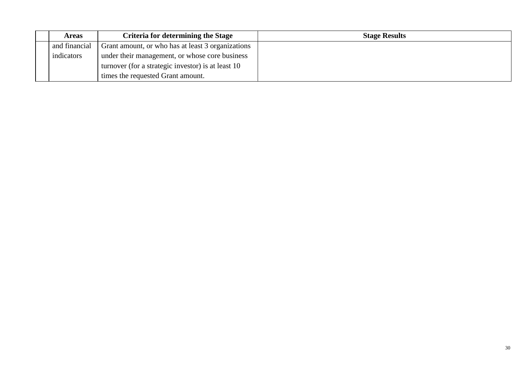| <b>Areas</b>                                                       | <b>Criteria for determining the Stage</b>          | <b>Stage Results</b> |
|--------------------------------------------------------------------|----------------------------------------------------|----------------------|
| and financial<br>Grant amount, or who has at least 3 organizations |                                                    |                      |
| indicators                                                         | under their management, or whose core business     |                      |
|                                                                    | turnover (for a strategic investor) is at least 10 |                      |
|                                                                    | times the requested Grant amount.                  |                      |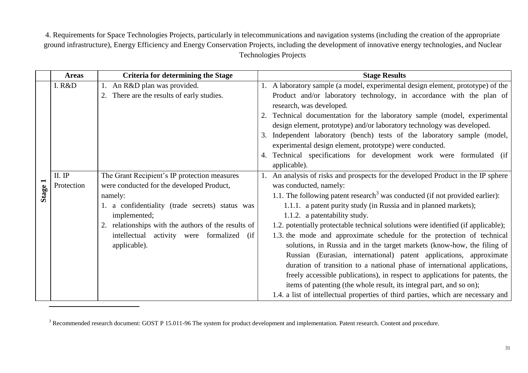4. Requirements for Space Technologies Projects, particularly in telecommunications and navigation systems (including the creation of the appropriate ground infrastructure), Energy Efficiency and Energy Conservation Projects, including the development of innovative energy technologies, and Nuclear Technologies Projects

<span id="page-31-0"></span>

|              | <b>Areas</b> | <b>Criteria for determining the Stage</b>           | <b>Stage Results</b>                                                                             |
|--------------|--------------|-----------------------------------------------------|--------------------------------------------------------------------------------------------------|
|              | I. R&D       | 1. An R&D plan was provided.                        | 1. A laboratory sample (a model, experimental design element, prototype) of the                  |
|              |              | 2. There are the results of early studies.          | Product and/or laboratory technology, in accordance with the plan of<br>research, was developed. |
|              |              |                                                     | 2. Technical documentation for the laboratory sample (model, experimental                        |
|              |              |                                                     | design element, prototype) and/or laboratory technology was developed.                           |
|              |              |                                                     | 3. Independent laboratory (bench) tests of the laboratory sample (model,                         |
|              |              |                                                     | experimental design element, prototype) were conducted.                                          |
|              |              |                                                     | 4. Technical specifications for development work were formulated (if                             |
|              |              |                                                     | applicable).                                                                                     |
|              | II. IP       | The Grant Recipient's IP protection measures        | 1. An analysis of risks and prospects for the developed Product in the IP sphere                 |
|              | Protection   | were conducted for the developed Product,           | was conducted, namely:                                                                           |
| <b>Stage</b> |              | namely:                                             | 1.1. The following patent research <sup>3</sup> was conducted (if not provided earlier):         |
|              |              | 1. a confidentiality (trade secrets) status was     | 1.1.1. a patent purity study (in Russia and in planned markets);                                 |
|              |              | implemented;                                        | 1.1.2. a patentability study.                                                                    |
|              |              | 2. relationships with the authors of the results of | 1.2. potentially protectable technical solutions were identified (if applicable);                |
|              |              | intellectual activity were formalized<br>(ii        | 1.3. the mode and approximate schedule for the protection of technical                           |
|              |              | applicable).                                        | solutions, in Russia and in the target markets (know-how, the filing of                          |
|              |              |                                                     | Russian (Eurasian, international) patent applications, approximate                               |
|              |              |                                                     | duration of transition to a national phase of international applications,                        |
|              |              |                                                     | freely accessible publications), in respect to applications for patents, the                     |
|              |              |                                                     | items of patenting (the whole result, its integral part, and so on);                             |
|              |              |                                                     | 1.4. a list of intellectual properties of third parties, which are necessary and                 |

<sup>&</sup>lt;sup>3</sup> Recommended research document: GOST P 15.011-96 The system for product development and implementation. Patent research. Content and procedure.

 $\overline{\phantom{a}}$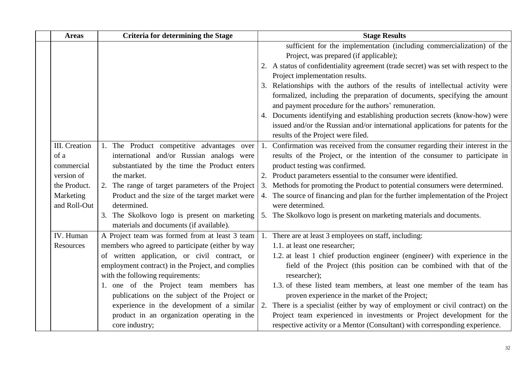| <b>Areas</b>  | <b>Criteria for determining the Stage</b>         | <b>Stage Results</b>                                                                |
|---------------|---------------------------------------------------|-------------------------------------------------------------------------------------|
|               |                                                   | sufficient for the implementation (including commercialization) of the              |
|               |                                                   | Project, was prepared (if applicable);                                              |
|               |                                                   | 2. A status of confidentiality agreement (trade secret) was set with respect to the |
|               |                                                   | Project implementation results.                                                     |
|               |                                                   | 3. Relationships with the authors of the results of intellectual activity were      |
|               |                                                   | formalized, including the preparation of documents, specifying the amount           |
|               |                                                   | and payment procedure for the authors' remuneration.                                |
|               |                                                   | 4. Documents identifying and establishing production secrets (know-how) were        |
|               |                                                   | issued and/or the Russian and/or international applications for patents for the     |
|               |                                                   | results of the Project were filed.                                                  |
| III. Creation | 1. The Product competitive advantages over        | 1. Confirmation was received from the consumer regarding their interest in the      |
| of a          | international and/or Russian analogs were         | results of the Project, or the intention of the consumer to participate in          |
| commercial    | substantiated by the time the Product enters      | product testing was confirmed.                                                      |
| version of    | the market.                                       | 2. Product parameters essential to the consumer were identified.                    |
| the Product.  | 2. The range of target parameters of the Project  | 3. Methods for promoting the Product to potential consumers were determined.        |
| Marketing     | Product and the size of the target market were    | 4. The source of financing and plan for the further implementation of the Project   |
| and Roll-Out  | determined.                                       | were determined.                                                                    |
|               | 3. The Skolkovo logo is present on marketing      | 5. The Skolkovo logo is present on marketing materials and documents.               |
|               | materials and documents (if available).           |                                                                                     |
| IV. Human     | A Project team was formed from at least 3 team    | 1. There are at least 3 employees on staff, including:                              |
| Resources     | members who agreed to participate (either by way  | 1.1. at least one researcher;                                                       |
|               | of written application, or civil contract, or     | 1.2. at least 1 chief production engineer (engineer) with experience in the         |
|               | employment contract) in the Project, and complies | field of the Project (this position can be combined with that of the                |
|               | with the following requirements:                  | researcher);                                                                        |
|               | 1. one of the Project team members has            | 1.3. of these listed team members, at least one member of the team has              |
|               | publications on the subject of the Project or     | proven experience in the market of the Project;                                     |
|               | experience in the development of a similar        | 2. There is a specialist (either by way of employment or civil contract) on the     |
|               | product in an organization operating in the       | Project team experienced in investments or Project development for the              |
|               | core industry;                                    | respective activity or a Mentor (Consultant) with corresponding experience.         |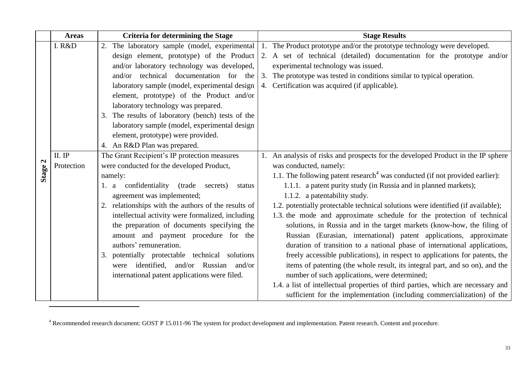|         | <b>Areas</b> | <b>Criteria for determining the Stage</b>           | <b>Stage Results</b>                                                                     |
|---------|--------------|-----------------------------------------------------|------------------------------------------------------------------------------------------|
|         | I. R&D       | 2. The laboratory sample (model, experimental       | 1. The Product prototype and/or the prototype technology were developed.                 |
|         |              | design element, prototype) of the Product           | 2. A set of technical (detailed) documentation for the prototype and/or                  |
|         |              | and/or laboratory technology was developed,         | experimental technology was issued.                                                      |
|         |              | and/or technical documentation for the              | 3. The prototype was tested in conditions similar to typical operation.                  |
|         |              | laboratory sample (model, experimental design       | 4. Certification was acquired (if applicable).                                           |
|         |              | element, prototype) of the Product and/or           |                                                                                          |
|         |              | laboratory technology was prepared.                 |                                                                                          |
|         |              | 3. The results of laboratory (bench) tests of the   |                                                                                          |
|         |              | laboratory sample (model, experimental design       |                                                                                          |
|         |              | element, prototype) were provided.                  |                                                                                          |
|         |              | 4. An R&D Plan was prepared.                        |                                                                                          |
|         | $II.$ IP     | The Grant Recipient's IP protection measures        | 1. An analysis of risks and prospects for the developed Product in the IP sphere         |
|         | Protection   | were conducted for the developed Product,           | was conducted, namely:                                                                   |
| Stage 2 |              | namely:                                             | 1.1. The following patent research <sup>4</sup> was conducted (if not provided earlier): |
|         |              | a confidentiality<br>(trade<br>secrets)<br>status   | 1.1.1. a patent purity study (in Russia and in planned markets);                         |
|         |              | agreement was implemented;                          | 1.1.2. a patentability study.                                                            |
|         |              | 2. relationships with the authors of the results of | 1.2. potentially protectable technical solutions were identified (if available);         |
|         |              | intellectual activity were formalized, including    | 1.3. the mode and approximate schedule for the protection of technical                   |
|         |              | the preparation of documents specifying the         | solutions, in Russia and in the target markets (know-how, the filing of                  |
|         |              | amount and payment procedure for the                | Russian (Eurasian, international) patent applications, approximate                       |
|         |              | authors' remuneration.                              | duration of transition to a national phase of international applications,                |
|         |              | 3. potentially protectable technical solutions      | freely accessible publications), in respect to applications for patents, the             |
|         |              | were identified, and/or Russian and/or              | items of patenting (the whole result, its integral part, and so on), and the             |
|         |              | international patent applications were filed.       | number of such applications, were determined;                                            |
|         |              |                                                     | 1.4. a list of intellectual properties of third parties, which are necessary and         |
|         |              |                                                     | sufficient for the implementation (including commercialization) of the                   |

<sup>4</sup> Recommended research document: GOST P 15.011-96 The system for product development and implementation. Patent research. Content and procedure.

 $\overline{\phantom{a}}$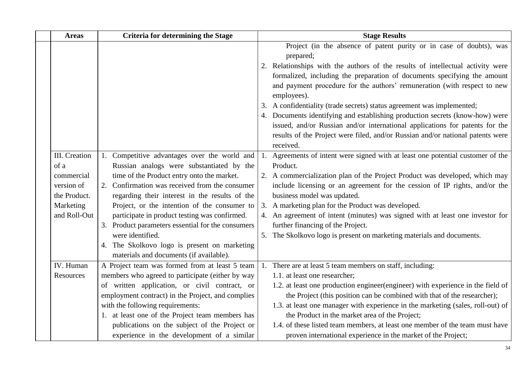| <b>Areas</b>  | <b>Criteria for determining the Stage</b>                                               | <b>Stage Results</b>                                                                    |
|---------------|-----------------------------------------------------------------------------------------|-----------------------------------------------------------------------------------------|
|               |                                                                                         | Project (in the absence of patent purity or in case of doubts), was                     |
|               |                                                                                         | prepared;                                                                               |
|               |                                                                                         | 2. Relationships with the authors of the results of intellectual activity were          |
|               |                                                                                         | formalized, including the preparation of documents specifying the amount                |
|               |                                                                                         | and payment procedure for the authors' remuneration (with respect to new<br>employees). |
|               |                                                                                         | 3. A confidentiality (trade secrets) status agreement was implemented;                  |
|               |                                                                                         | 4. Documents identifying and establishing production secrets (know-how) were            |
|               |                                                                                         | issued, and/or Russian and/or international applications for patents for the            |
|               |                                                                                         | results of the Project were filed, and/or Russian and/or national patents were          |
|               |                                                                                         | received.                                                                               |
| III. Creation | 1. Competitive advantages over the world and                                            | 1. Agreements of intent were signed with at least one potential customer of the         |
| of a          | Russian analogs were substantiated by the                                               | Product.                                                                                |
| commercial    | time of the Product entry onto the market.                                              | 2. A commercialization plan of the Project Product was developed, which may             |
| version of    | 2. Confirmation was received from the consumer                                          | include licensing or an agreement for the cession of IP rights, and/or the              |
| the Product.  | regarding their interest in the results of the                                          | business model was updated.                                                             |
| Marketing     | Project, or the intention of the consumer to                                            | 3. A marketing plan for the Product was developed.                                      |
| and Roll-Out  | participate in product testing was confirmed.                                           | 4. An agreement of intent (minutes) was signed with at least one investor for           |
|               | 3. Product parameters essential for the consumers                                       | further financing of the Project.                                                       |
|               | were identified.                                                                        | 5. The Skolkovo logo is present on marketing materials and documents.                   |
|               | 4. The Skolkovo logo is present on marketing<br>materials and documents (if available). |                                                                                         |
| IV. Human     | A Project team was formed from at least 5 team                                          | 1. There are at least 5 team members on staff, including:                               |
| Resources     | members who agreed to participate (either by way                                        | 1.1. at least one researcher;                                                           |
|               | of written application, or civil contract, or                                           | 1.2. at least one production engineer(engineer) with experience in the field of         |
|               | employment contract) in the Project, and complies                                       | the Project (this position can be combined with that of the researcher);                |
|               | with the following requirements:                                                        | 1.3. at least one manager with experience in the marketing (sales, roll-out) of         |
|               | 1. at least one of the Project team members has                                         | the Product in the market area of the Project;                                          |
|               | publications on the subject of the Project or                                           | 1.4. of these listed team members, at least one member of the team must have            |
|               | experience in the development of a similar                                              | proven international experience in the market of the Project;                           |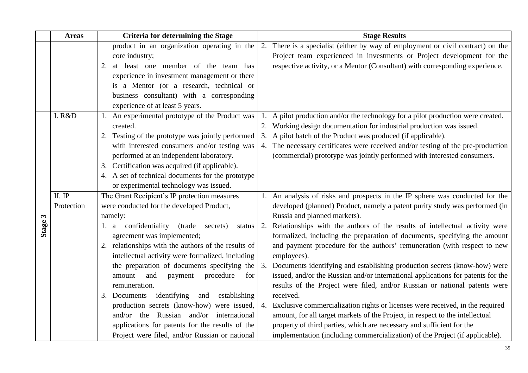|                       | <b>Areas</b> | <b>Criteria for determining the Stage</b>             | <b>Stage Results</b>                                                             |
|-----------------------|--------------|-------------------------------------------------------|----------------------------------------------------------------------------------|
|                       |              | product in an organization operating in the           | 2. There is a specialist (either by way of employment or civil contract) on the  |
|                       |              | core industry;                                        | Project team experienced in investments or Project development for the           |
|                       |              | at least one member of the team has<br>2.             | respective activity, or a Mentor (Consultant) with corresponding experience.     |
|                       |              | experience in investment management or there          |                                                                                  |
|                       |              | is a Mentor (or a research, technical or              |                                                                                  |
|                       |              | business consultant) with a corresponding             |                                                                                  |
|                       |              | experience of at least 5 years.                       |                                                                                  |
|                       | I. R&D       | 1. An experimental prototype of the Product was       | A pilot production and/or the technology for a pilot production were created.    |
|                       |              | created.                                              | 2. Working design documentation for industrial production was issued.            |
|                       |              | 2. Testing of the prototype was jointly performed     | 3. A pilot batch of the Product was produced (if applicable).                    |
|                       |              | with interested consumers and/or testing was          | 4. The necessary certificates were received and/or testing of the pre-production |
|                       |              | performed at an independent laboratory.               | (commercial) prototype was jointly performed with interested consumers.          |
|                       |              | 3. Certification was acquired (if applicable).        |                                                                                  |
|                       |              | 4. A set of technical documents for the prototype     |                                                                                  |
|                       |              | or experimental technology was issued.                |                                                                                  |
|                       | II. IP       | The Grant Recipient's IP protection measures          | 1. An analysis of risks and prospects in the IP sphere was conducted for the     |
|                       | Protection   | were conducted for the developed Product,             | developed (planned) Product, namely a patent purity study was performed (in      |
| $\boldsymbol{\omega}$ |              | namely:                                               | Russia and planned markets).                                                     |
| Stage:                |              | 1. a confidentiality<br>(trade)<br>secrets)<br>status | 2. Relationships with the authors of the results of intellectual activity were   |
|                       |              | agreement was implemented;                            | formalized, including the preparation of documents, specifying the amount        |
|                       |              | 2. relationships with the authors of the results of   | and payment procedure for the authors' remuneration (with respect to new         |
|                       |              | intellectual activity were formalized, including      | employees).                                                                      |
|                       |              | the preparation of documents specifying the           | 3. Documents identifying and establishing production secrets (know-how) were     |
|                       |              | amount<br>and<br>procedure<br>payment<br>for          | issued, and/or the Russian and/or international applications for patents for the |
|                       |              | remuneration.                                         | results of the Project were filed, and/or Russian or national patents were       |
|                       |              | 3. Documents identifying<br>and<br>establishing       | received.                                                                        |
|                       |              | production secrets (know-how) were issued,            | 4. Exclusive commercialization rights or licenses were received, in the required |
|                       |              | and/or the Russian and/or international               | amount, for all target markets of the Project, in respect to the intellectual    |
|                       |              | applications for patents for the results of the       | property of third parties, which are necessary and sufficient for the            |
|                       |              | Project were filed, and/or Russian or national        | implementation (including commercialization) of the Project (if applicable).     |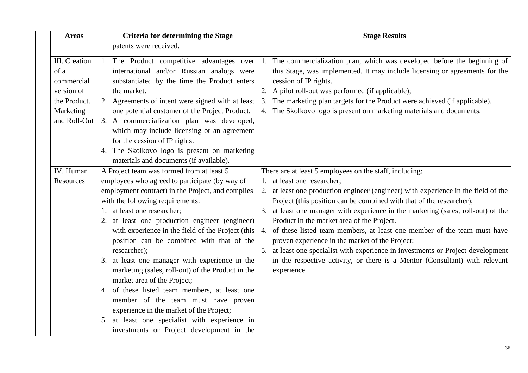| <b>Areas</b>                                                                                   | <b>Criteria for determining the Stage</b>                                                                                                                                                                                                                                                                                                                                                                                                                                                                                                                                                                                                                                                                                                                       | <b>Stage Results</b>                                                                                                                                                                                                                                                                                                                                                                                                                                                                                                                                                                                                                                                                                       |
|------------------------------------------------------------------------------------------------|-----------------------------------------------------------------------------------------------------------------------------------------------------------------------------------------------------------------------------------------------------------------------------------------------------------------------------------------------------------------------------------------------------------------------------------------------------------------------------------------------------------------------------------------------------------------------------------------------------------------------------------------------------------------------------------------------------------------------------------------------------------------|------------------------------------------------------------------------------------------------------------------------------------------------------------------------------------------------------------------------------------------------------------------------------------------------------------------------------------------------------------------------------------------------------------------------------------------------------------------------------------------------------------------------------------------------------------------------------------------------------------------------------------------------------------------------------------------------------------|
|                                                                                                | patents were received.                                                                                                                                                                                                                                                                                                                                                                                                                                                                                                                                                                                                                                                                                                                                          |                                                                                                                                                                                                                                                                                                                                                                                                                                                                                                                                                                                                                                                                                                            |
| III. Creation<br>of a<br>commercial<br>version of<br>the Product.<br>Marketing<br>and Roll-Out | 1. The Product competitive advantages over<br>international and/or Russian analogs were<br>substantiated by the time the Product enters<br>the market.<br>2. Agreements of intent were signed with at least<br>one potential customer of the Project Product.<br>3. A commercialization plan was developed,<br>which may include licensing or an agreement<br>for the cession of IP rights.<br>4. The Skolkovo logo is present on marketing<br>materials and documents (if available).                                                                                                                                                                                                                                                                          | 1. The commercialization plan, which was developed before the beginning of<br>this Stage, was implemented. It may include licensing or agreements for the<br>cession of IP rights.<br>2. A pilot roll-out was performed (if applicable);<br>3. The marketing plan targets for the Product were achieved (if applicable).<br>4. The Skolkovo logo is present on marketing materials and documents.                                                                                                                                                                                                                                                                                                          |
| IV. Human<br>Resources                                                                         | A Project team was formed from at least 5<br>employees who agreed to participate (by way of<br>employment contract) in the Project, and complies<br>with the following requirements:<br>1. at least one researcher;<br>2. at least one production engineer (engineer)<br>with experience in the field of the Project (this<br>position can be combined with that of the<br>researcher);<br>3. at least one manager with experience in the<br>marketing (sales, roll-out) of the Product in the<br>market area of the Project;<br>4. of these listed team members, at least one<br>member of the team must have proven<br>experience in the market of the Project;<br>5. at least one specialist with experience in<br>investments or Project development in the | There are at least 5 employees on the staff, including:<br>1. at least one researcher;<br>2. at least one production engineer (engineer) with experience in the field of the<br>Project (this position can be combined with that of the researcher);<br>3. at least one manager with experience in the marketing (sales, roll-out) of the<br>Product in the market area of the Project.<br>4. of these listed team members, at least one member of the team must have<br>proven experience in the market of the Project;<br>5. at least one specialist with experience in investments or Project development<br>in the respective activity, or there is a Mentor (Consultant) with relevant<br>experience. |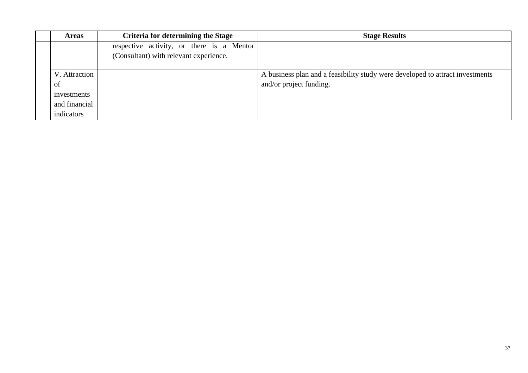| <b>Areas</b>  | <b>Criteria for determining the Stage</b> | <b>Stage Results</b>                                                          |
|---------------|-------------------------------------------|-------------------------------------------------------------------------------|
|               | respective activity, or there is a Mentor |                                                                               |
|               | (Consultant) with relevant experience.    |                                                                               |
|               |                                           |                                                                               |
| V. Attraction |                                           | A business plan and a feasibility study were developed to attract investments |
| of            |                                           | and/or project funding.                                                       |
| investments   |                                           |                                                                               |
| and financial |                                           |                                                                               |
| indicators    |                                           |                                                                               |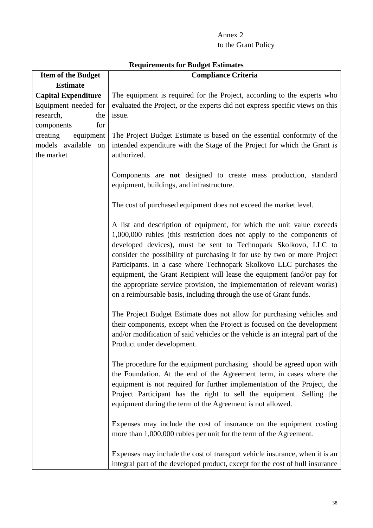# Annex 2 to the Grant Policy

<span id="page-38-0"></span>

| <b>Item of the Budget</b>                                              | <b>Compliance Criteria</b>                                                                                                                                                                                                                                                                                                                                                                                                                                                                                                                                                                         |
|------------------------------------------------------------------------|----------------------------------------------------------------------------------------------------------------------------------------------------------------------------------------------------------------------------------------------------------------------------------------------------------------------------------------------------------------------------------------------------------------------------------------------------------------------------------------------------------------------------------------------------------------------------------------------------|
| <b>Estimate</b>                                                        |                                                                                                                                                                                                                                                                                                                                                                                                                                                                                                                                                                                                    |
| <b>Capital Expenditure</b><br>Equipment needed for<br>research,<br>the | The equipment is required for the Project, according to the experts who<br>evaluated the Project, or the experts did not express specific views on this<br>issue.                                                                                                                                                                                                                                                                                                                                                                                                                                  |
| for<br>components                                                      |                                                                                                                                                                                                                                                                                                                                                                                                                                                                                                                                                                                                    |
| creating<br>equipment<br>models available<br>on<br>the market          | The Project Budget Estimate is based on the essential conformity of the<br>intended expenditure with the Stage of the Project for which the Grant is<br>authorized.                                                                                                                                                                                                                                                                                                                                                                                                                                |
|                                                                        | Components are not designed to create mass production, standard<br>equipment, buildings, and infrastructure.                                                                                                                                                                                                                                                                                                                                                                                                                                                                                       |
|                                                                        | The cost of purchased equipment does not exceed the market level.                                                                                                                                                                                                                                                                                                                                                                                                                                                                                                                                  |
|                                                                        | A list and description of equipment, for which the unit value exceeds<br>1,000,000 rubles (this restriction does not apply to the components of<br>developed devices), must be sent to Technopark Skolkovo, LLC to<br>consider the possibility of purchasing it for use by two or more Project<br>Participants. In a case where Technopark Skolkovo LLC purchases the<br>equipment, the Grant Recipient will lease the equipment (and/or pay for<br>the appropriate service provision, the implementation of relevant works)<br>on a reimbursable basis, including through the use of Grant funds. |
|                                                                        | The Project Budget Estimate does not allow for purchasing vehicles and<br>their components, except when the Project is focused on the development<br>and/or modification of said vehicles or the vehicle is an integral part of the<br>Product under development.                                                                                                                                                                                                                                                                                                                                  |
|                                                                        | The procedure for the equipment purchasing should be agreed upon with<br>the Foundation. At the end of the Agreement term, in cases where the<br>equipment is not required for further implementation of the Project, the<br>Project Participant has the right to sell the equipment. Selling the<br>equipment during the term of the Agreement is not allowed.                                                                                                                                                                                                                                    |
|                                                                        | Expenses may include the cost of insurance on the equipment costing<br>more than 1,000,000 rubles per unit for the term of the Agreement.                                                                                                                                                                                                                                                                                                                                                                                                                                                          |
|                                                                        | Expenses may include the cost of transport vehicle insurance, when it is an<br>integral part of the developed product, except for the cost of hull insurance                                                                                                                                                                                                                                                                                                                                                                                                                                       |

# **Requirements for Budget Estimates**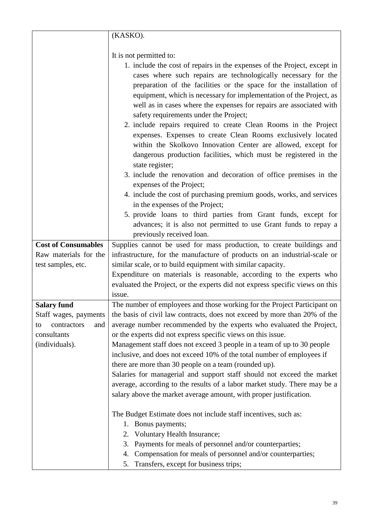|                                                                  | (KASKO).                                                                                                                                                                                                                                                                                                                                                                                                                                                                                                                                                                                                                                                                                                                                                                                                                                                                                                                                                                            |
|------------------------------------------------------------------|-------------------------------------------------------------------------------------------------------------------------------------------------------------------------------------------------------------------------------------------------------------------------------------------------------------------------------------------------------------------------------------------------------------------------------------------------------------------------------------------------------------------------------------------------------------------------------------------------------------------------------------------------------------------------------------------------------------------------------------------------------------------------------------------------------------------------------------------------------------------------------------------------------------------------------------------------------------------------------------|
|                                                                  |                                                                                                                                                                                                                                                                                                                                                                                                                                                                                                                                                                                                                                                                                                                                                                                                                                                                                                                                                                                     |
|                                                                  | It is not permitted to:                                                                                                                                                                                                                                                                                                                                                                                                                                                                                                                                                                                                                                                                                                                                                                                                                                                                                                                                                             |
|                                                                  | 1. include the cost of repairs in the expenses of the Project, except in<br>cases where such repairs are technologically necessary for the<br>preparation of the facilities or the space for the installation of<br>equipment, which is necessary for implementation of the Project, as<br>well as in cases where the expenses for repairs are associated with<br>safety requirements under the Project;<br>2. include repairs required to create Clean Rooms in the Project<br>expenses. Expenses to create Clean Rooms exclusively located<br>within the Skolkovo Innovation Center are allowed, except for<br>dangerous production facilities, which must be registered in the<br>state register;<br>3. include the renovation and decoration of office premises in the<br>expenses of the Project;<br>4. include the cost of purchasing premium goods, works, and services<br>in the expenses of the Project;<br>5. provide loans to third parties from Grant funds, except for |
|                                                                  | advances; it is also not permitted to use Grant funds to repay a                                                                                                                                                                                                                                                                                                                                                                                                                                                                                                                                                                                                                                                                                                                                                                                                                                                                                                                    |
|                                                                  | previously received loan.                                                                                                                                                                                                                                                                                                                                                                                                                                                                                                                                                                                                                                                                                                                                                                                                                                                                                                                                                           |
| <b>Cost of Consumables</b>                                       | Supplies cannot be used for mass production, to create buildings and                                                                                                                                                                                                                                                                                                                                                                                                                                                                                                                                                                                                                                                                                                                                                                                                                                                                                                                |
| Raw materials for the                                            | infrastructure, for the manufacture of products on an industrial-scale or                                                                                                                                                                                                                                                                                                                                                                                                                                                                                                                                                                                                                                                                                                                                                                                                                                                                                                           |
| test samples, etc.                                               | similar scale, or to build equipment with similar capacity.                                                                                                                                                                                                                                                                                                                                                                                                                                                                                                                                                                                                                                                                                                                                                                                                                                                                                                                         |
|                                                                  | Expenditure on materials is reasonable, according to the experts who                                                                                                                                                                                                                                                                                                                                                                                                                                                                                                                                                                                                                                                                                                                                                                                                                                                                                                                |
|                                                                  | evaluated the Project, or the experts did not express specific views on this                                                                                                                                                                                                                                                                                                                                                                                                                                                                                                                                                                                                                                                                                                                                                                                                                                                                                                        |
|                                                                  | issue.                                                                                                                                                                                                                                                                                                                                                                                                                                                                                                                                                                                                                                                                                                                                                                                                                                                                                                                                                                              |
| <b>Salary fund</b>                                               | The number of employees and those working for the Project Participant on                                                                                                                                                                                                                                                                                                                                                                                                                                                                                                                                                                                                                                                                                                                                                                                                                                                                                                            |
| Staff wages, payments<br>contractors<br>and<br>to<br>consultants | the basis of civil law contracts, does not exceed by more than 20% of the<br>average number recommended by the experts who evaluated the Project,<br>or the experts did not express specific views on this issue.                                                                                                                                                                                                                                                                                                                                                                                                                                                                                                                                                                                                                                                                                                                                                                   |
| (individuals).                                                   | Management staff does not exceed 3 people in a team of up to 30 people                                                                                                                                                                                                                                                                                                                                                                                                                                                                                                                                                                                                                                                                                                                                                                                                                                                                                                              |
|                                                                  | inclusive, and does not exceed 10% of the total number of employees if                                                                                                                                                                                                                                                                                                                                                                                                                                                                                                                                                                                                                                                                                                                                                                                                                                                                                                              |
|                                                                  | there are more than 30 people on a team (rounded up).                                                                                                                                                                                                                                                                                                                                                                                                                                                                                                                                                                                                                                                                                                                                                                                                                                                                                                                               |
|                                                                  | Salaries for managerial and support staff should not exceed the market                                                                                                                                                                                                                                                                                                                                                                                                                                                                                                                                                                                                                                                                                                                                                                                                                                                                                                              |
|                                                                  | average, according to the results of a labor market study. There may be a                                                                                                                                                                                                                                                                                                                                                                                                                                                                                                                                                                                                                                                                                                                                                                                                                                                                                                           |
|                                                                  | salary above the market average amount, with proper justification.                                                                                                                                                                                                                                                                                                                                                                                                                                                                                                                                                                                                                                                                                                                                                                                                                                                                                                                  |
|                                                                  | The Budget Estimate does not include staff incentives, such as:                                                                                                                                                                                                                                                                                                                                                                                                                                                                                                                                                                                                                                                                                                                                                                                                                                                                                                                     |
|                                                                  | Bonus payments;<br>1.                                                                                                                                                                                                                                                                                                                                                                                                                                                                                                                                                                                                                                                                                                                                                                                                                                                                                                                                                               |
|                                                                  | Voluntary Health Insurance;<br>2.                                                                                                                                                                                                                                                                                                                                                                                                                                                                                                                                                                                                                                                                                                                                                                                                                                                                                                                                                   |
|                                                                  | Payments for meals of personnel and/or counterparties;<br>3.                                                                                                                                                                                                                                                                                                                                                                                                                                                                                                                                                                                                                                                                                                                                                                                                                                                                                                                        |
|                                                                  | Compensation for meals of personnel and/or counterparties;<br>4.                                                                                                                                                                                                                                                                                                                                                                                                                                                                                                                                                                                                                                                                                                                                                                                                                                                                                                                    |
|                                                                  | Transfers, except for business trips;<br>5.                                                                                                                                                                                                                                                                                                                                                                                                                                                                                                                                                                                                                                                                                                                                                                                                                                                                                                                                         |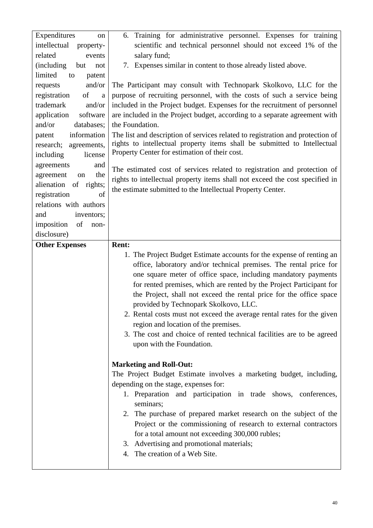| Expenditures<br>on             | 6. Training for administrative personnel. Expenses for training                                       |  |  |
|--------------------------------|-------------------------------------------------------------------------------------------------------|--|--|
| intellectual<br>property-      | scientific and technical personnel should not exceed 1% of the                                        |  |  |
| related<br>events              | salary fund;                                                                                          |  |  |
| (including)<br>but<br>not      | Expenses similar in content to those already listed above.<br>7.                                      |  |  |
| limited<br>to<br>patent        |                                                                                                       |  |  |
| and/or<br>requests             | The Participant may consult with Technopark Skolkovo, LLC for the                                     |  |  |
| of<br>registration<br>$\rm{a}$ | purpose of recruiting personnel, with the costs of such a service being                               |  |  |
| trademark<br>and/or            | included in the Project budget. Expenses for the recruitment of personnel                             |  |  |
| application<br>software        | are included in the Project budget, according to a separate agreement with                            |  |  |
| and/or<br>databases;           | the Foundation.                                                                                       |  |  |
| information<br>patent          | The list and description of services related to registration and protection of                        |  |  |
| research;<br>agreements,       | rights to intellectual property items shall be submitted to Intellectual                              |  |  |
| including<br>license           | Property Center for estimation of their cost.                                                         |  |  |
| agreements<br>and              | The estimated cost of services related to registration and protection of                              |  |  |
| the<br>agreement<br>on         | rights to intellectual property items shall not exceed the cost specified in                          |  |  |
| alienation<br>of rights;       | the estimate submitted to the Intellectual Property Center.                                           |  |  |
| registration<br>of             |                                                                                                       |  |  |
| relations with authors         |                                                                                                       |  |  |
| inventors;<br>and              |                                                                                                       |  |  |
| of<br>imposition<br>non-       |                                                                                                       |  |  |
| disclosure)                    |                                                                                                       |  |  |
| <b>Other Expenses</b>          | <b>Rent:</b>                                                                                          |  |  |
|                                | 1. The Project Budget Estimate accounts for the expense of renting an                                 |  |  |
|                                | office, laboratory and/or technical premises. The rental price for                                    |  |  |
|                                | one square meter of office space, including mandatory payments                                        |  |  |
|                                | for rented premises, which are rented by the Project Participant for                                  |  |  |
|                                | the Project, shall not exceed the rental price for the office space                                   |  |  |
|                                | provided by Technopark Skolkovo, LLC.                                                                 |  |  |
|                                | 2. Rental costs must not exceed the average rental rates for the given                                |  |  |
|                                | region and location of the premises.                                                                  |  |  |
|                                | 3. The cost and choice of rented technical facilities are to be agreed                                |  |  |
|                                | upon with the Foundation.                                                                             |  |  |
|                                |                                                                                                       |  |  |
|                                | <b>Marketing and Roll-Out:</b><br>The Project Budget Estimate involves a marketing budget, including, |  |  |
|                                | depending on the stage, expenses for:                                                                 |  |  |
|                                | 1. Preparation and participation in trade shows, conferences,                                         |  |  |
|                                | seminars;                                                                                             |  |  |
|                                | 2. The purchase of prepared market research on the subject of the                                     |  |  |
|                                | Project or the commissioning of research to external contractors                                      |  |  |
|                                | for a total amount not exceeding 300,000 rubles;                                                      |  |  |
|                                | 3. Advertising and promotional materials;                                                             |  |  |
|                                | 4. The creation of a Web Site.                                                                        |  |  |
|                                |                                                                                                       |  |  |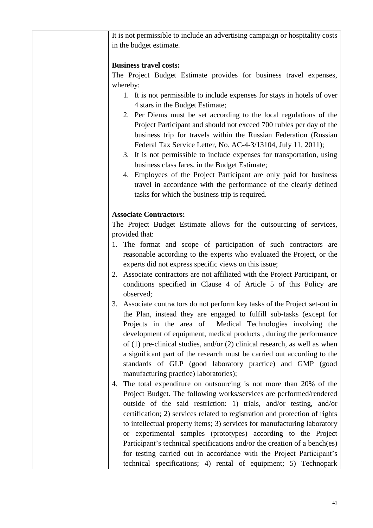| It is not permissible to include an advertising campaign or hospitality costs  |
|--------------------------------------------------------------------------------|
| in the budget estimate.                                                        |
|                                                                                |
| <b>Business travel costs:</b>                                                  |
| The Project Budget Estimate provides for business travel expenses,             |
| whereby:                                                                       |
| 1. It is not permissible to include expenses for stays in hotels of over       |
|                                                                                |
| 4 stars in the Budget Estimate;                                                |
| 2. Per Diems must be set according to the local regulations of the             |
| Project Participant and should not exceed 700 rubles per day of the            |
| business trip for travels within the Russian Federation (Russian               |
| Federal Tax Service Letter, No. AC-4-3/13104, July 11, 2011);                  |
| 3. It is not permissible to include expenses for transportation, using         |
| business class fares, in the Budget Estimate;                                  |
| 4. Employees of the Project Participant are only paid for business             |
| travel in accordance with the performance of the clearly defined               |
| tasks for which the business trip is required.                                 |
|                                                                                |
| <b>Associate Contractors:</b>                                                  |
| The Project Budget Estimate allows for the outsourcing of services,            |
| provided that:                                                                 |
|                                                                                |
| 1. The format and scope of participation of such contractors are               |
| reasonable according to the experts who evaluated the Project, or the          |
| experts did not express specific views on this issue;                          |
| 2. Associate contractors are not affiliated with the Project Participant, or   |
| conditions specified in Clause 4 of Article 5 of this Policy are               |
| observed;                                                                      |
| 3. Associate contractors do not perform key tasks of the Project set-out in    |
| the Plan, instead they are engaged to fulfill sub-tasks (except for            |
| Projects in the area of Medical Technologies involving the                     |
| development of equipment, medical products, during the performance             |
| of $(1)$ pre-clinical studies, and/or $(2)$ clinical research, as well as when |
| a significant part of the research must be carried out according to the        |
| standards of GLP (good laboratory practice) and GMP (good                      |
| manufacturing practice) laboratories);                                         |
| The total expenditure on outsourcing is not more than 20% of the<br>4.         |
|                                                                                |
| Project Budget. The following works/services are performed/rendered            |
| outside of the said restriction: 1) trials, and/or testing, and/or             |
| certification; 2) services related to registration and protection of rights    |
| to intellectual property items; 3) services for manufacturing laboratory       |
| or experimental samples (prototypes) according to the Project                  |
| Participant's technical specifications and/or the creation of a bench(es)      |
| for testing carried out in accordance with the Project Participant's           |
| technical specifications; 4) rental of equipment; 5) Technopark                |
|                                                                                |